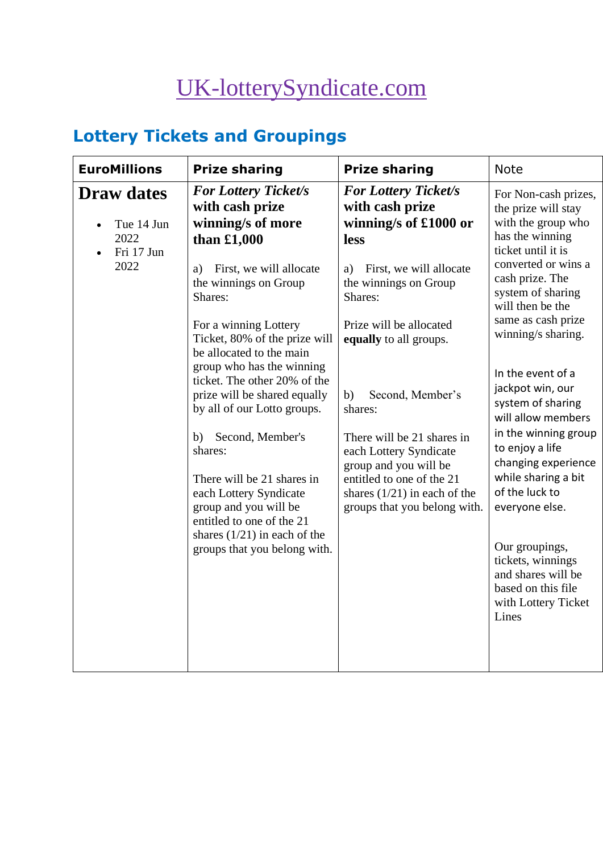# [UK-lotterySyndicate.com](http://www.uk-lotterysyndicate.com/)

# **Lottery Tickets and Groupings**

| <b>EuroMillions</b>                                           | <b>Prize sharing</b>                                                                                                                                                                                                                                                                                                                                                                                                                           | <b>Prize sharing</b>                                                                                                                                                                                                                                                              | <b>Note</b>                                                                                                                                                                                                                                                                                                                                                                                                           |
|---------------------------------------------------------------|------------------------------------------------------------------------------------------------------------------------------------------------------------------------------------------------------------------------------------------------------------------------------------------------------------------------------------------------------------------------------------------------------------------------------------------------|-----------------------------------------------------------------------------------------------------------------------------------------------------------------------------------------------------------------------------------------------------------------------------------|-----------------------------------------------------------------------------------------------------------------------------------------------------------------------------------------------------------------------------------------------------------------------------------------------------------------------------------------------------------------------------------------------------------------------|
| <b>Draw dates</b><br>Tue 14 Jun<br>2022<br>Fri 17 Jun<br>2022 | <b>For Lottery Ticket/s</b><br>with cash prize<br>winning/s of more<br>than $£1,000$<br>First, we will allocate<br>a)<br>the winnings on Group                                                                                                                                                                                                                                                                                                 | <b>For Lottery Ticket/s</b><br>with cash prize<br>winning/s of £1000 or<br>less<br>First, we will allocate<br>a)<br>the winnings on Group                                                                                                                                         | For Non-cash prizes,<br>the prize will stay<br>with the group who<br>has the winning<br>ticket until it is<br>converted or wins a<br>cash prize. The                                                                                                                                                                                                                                                                  |
|                                                               | Shares:<br>For a winning Lottery<br>Ticket, 80% of the prize will<br>be allocated to the main<br>group who has the winning<br>ticket. The other 20% of the<br>prize will be shared equally<br>by all of our Lotto groups.<br>Second, Member's<br>b)<br>shares:<br>There will be 21 shares in<br>each Lottery Syndicate<br>group and you will be<br>entitled to one of the 21<br>shares $(1/21)$ in each of the<br>groups that you belong with. | Shares:<br>Prize will be allocated<br>equally to all groups.<br>Second, Member's<br>b)<br>shares:<br>There will be 21 shares in<br>each Lottery Syndicate<br>group and you will be<br>entitled to one of the 21<br>shares $(1/21)$ in each of the<br>groups that you belong with. | system of sharing<br>will then be the<br>same as cash prize<br>winning/s sharing.<br>In the event of a<br>jackpot win, our<br>system of sharing<br>will allow members<br>in the winning group<br>to enjoy a life<br>changing experience<br>while sharing a bit<br>of the luck to<br>everyone else.<br>Our groupings,<br>tickets, winnings<br>and shares will be<br>based on this file<br>with Lottery Ticket<br>Lines |
|                                                               |                                                                                                                                                                                                                                                                                                                                                                                                                                                |                                                                                                                                                                                                                                                                                   |                                                                                                                                                                                                                                                                                                                                                                                                                       |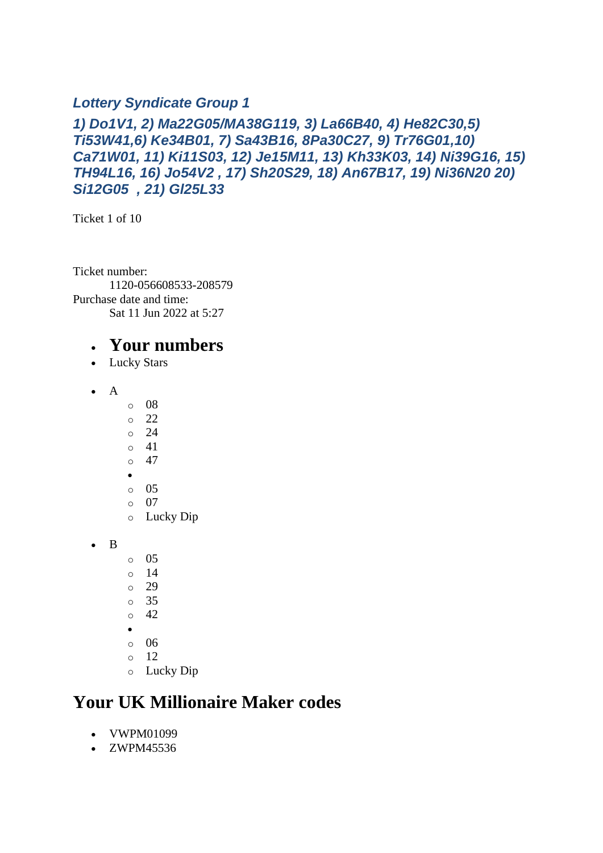#### *Lottery Syndicate Group 1*

#### *1) Do1V1, 2) Ma22G05/MA38G119, 3) La66B40, 4) He82C30,5) Ti53W41,6) Ke34B01, 7) Sa43B16, 8Pa30C27, 9) Tr76G01,10) Ca71W01, 11) Ki11S03, 12) Je15M11, 13) Kh33K03, 14) Ni39G16, 15) TH94L16, 16) Jo54V2 , 17) Sh20S29, 18) An67B17, 19) Ni36N20 20) Si12G05 , 21) Gl25L33*

Ticket 1 of 10

Ticket number: 1120-056608533-208579 Purchase date and time: Sat 11 Jun 2022 at 5:27

#### • **Your numbers**

- Lucky Stars
- A
- o 08
- $\circ$  22
- o 24
- o 41  $\circ$  47
- •
- o 05
- o 07
- o Lucky Dip
- B
- o 05
- o 14
- o 29
- o 35
- $\circ$  42
- •
- $\circ$  06
- o 12
- o Lucky Dip

### **Your UK Millionaire Maker codes**

- VWPM01099
- ZWPM45536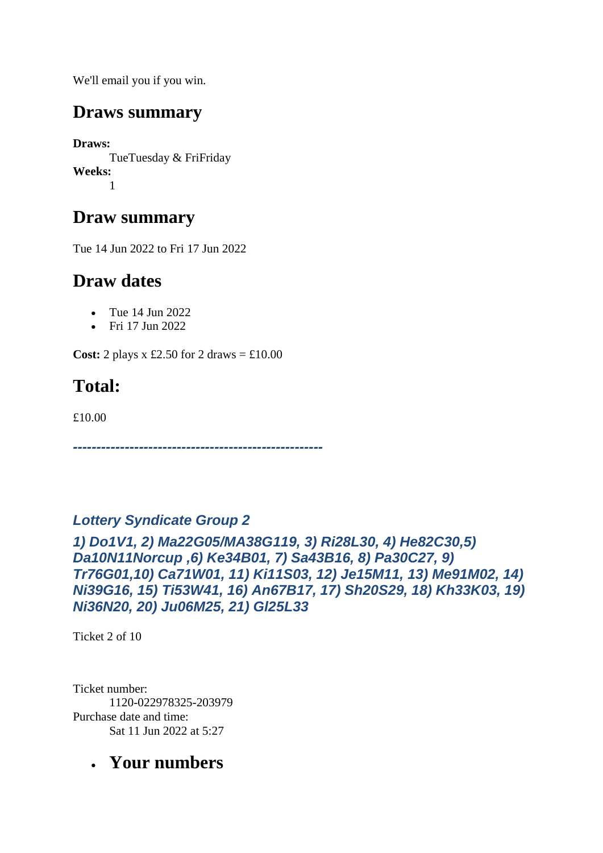We'll email you if you win.

### **Draws summary**

**Draws:** TueTuesday & FriFriday **Weeks:** 1

### **Draw summary**

Tue 14 Jun 2022 to Fri 17 Jun 2022

# **Draw dates**

- Tue 14 Jun 2022
- Fri 17 Jun 2022

**Cost:** 2 plays x £2.50 for 2 draws  $=$  £10.00

# **Total:**

£10.00

*-----------------------------------------------------*

#### *Lottery Syndicate Group 2*

*1) Do1V1, 2) Ma22G05/MA38G119, 3) Ri28L30, 4) He82C30,5) Da10N11Norcup ,6) Ke34B01, 7) Sa43B16, 8) Pa30C27, 9) Tr76G01,10) Ca71W01, 11) Ki11S03, 12) Je15M11, 13) Me91M02, 14) Ni39G16, 15) Ti53W41, 16) An67B17, 17) Sh20S29, 18) Kh33K03, 19) Ni36N20, 20) Ju06M25, 21) Gl25L33*

Ticket 2 of 10

Ticket number: 1120-022978325-203979 Purchase date and time: Sat 11 Jun 2022 at 5:27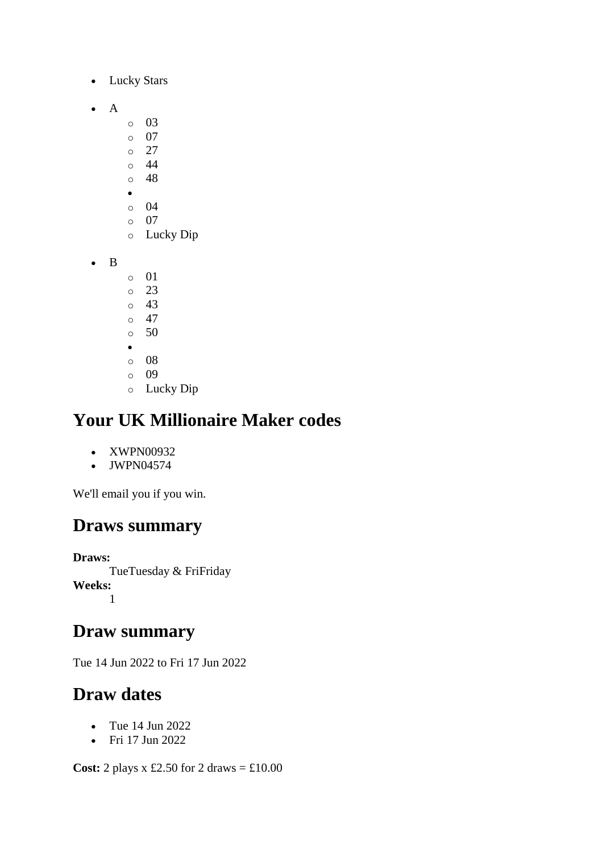- Lucky Stars
- A
- o 03
- o 07
- $\circ$  27
- $\circ$  44 o 48
- •
- o 04
- o 07
- o Lucky Dip
- B
- o 01
- o 23
- o 43
- o 47  $\circ$  50
- •
- o 08
- o 09
- o Lucky Dip

- XWPN00932
- JWPN04574

We'll email you if you win.

### **Draws summary**

**Draws:** TueTuesday & FriFriday **Weeks:** 1

#### **Draw summary**

Tue 14 Jun 2022 to Fri 17 Jun 2022

### **Draw dates**

- Tue 14 Jun 2022
- Fri 17 Jun 2022

**Cost:** 2 plays x £2.50 for 2 draws = £10.00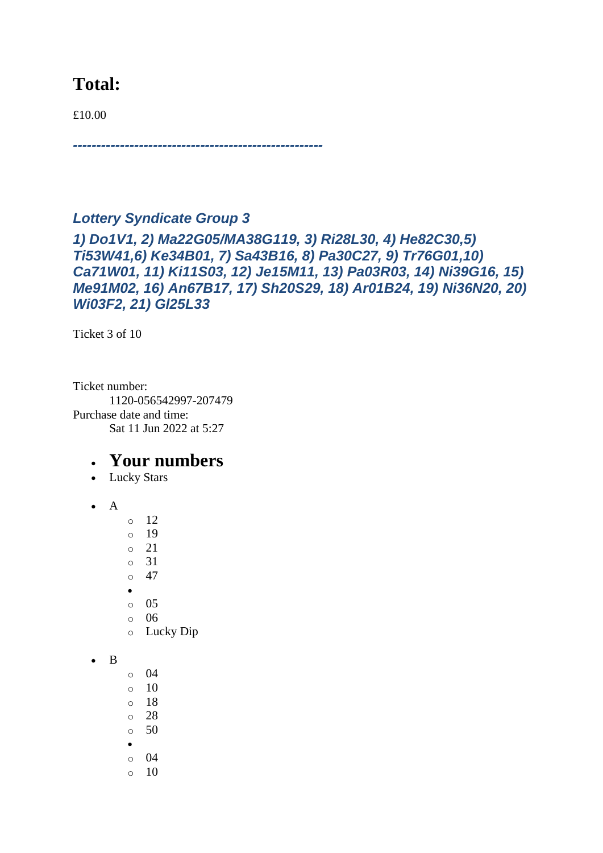#### **Total:**

£10.00

# *Lottery Syndicate Group 3*

*-----------------------------------------------------*

*1) Do1V1, 2) Ma22G05/MA38G119, 3) Ri28L30, 4) He82C30,5) Ti53W41,6) Ke34B01, 7) Sa43B16, 8) Pa30C27, 9) Tr76G01,10) Ca71W01, 11) Ki11S03, 12) Je15M11, 13) Pa03R03, 14) Ni39G16, 15) Me91M02, 16) An67B17, 17) Sh20S29, 18) Ar01B24, 19) Ni36N20, 20) Wi03F2, 21) Gl25L33*

Ticket 3 of 10

Ticket number: 1120-056542997-207479 Purchase date and time: Sat 11 Jun 2022 at 5:27

- Lucky Stars
- $\bullet$  A
	- $\circ$  12
	- o 19
	- o 21
	- o 31
	- $\circ$  47
	- •
	- o 05 o 06
	- o Lucky Dip
- B
- $\circ$  04
- $\circ$  10
- o 18
- o 28  $\circ$  50
- 
- o 04
- $\circ$  10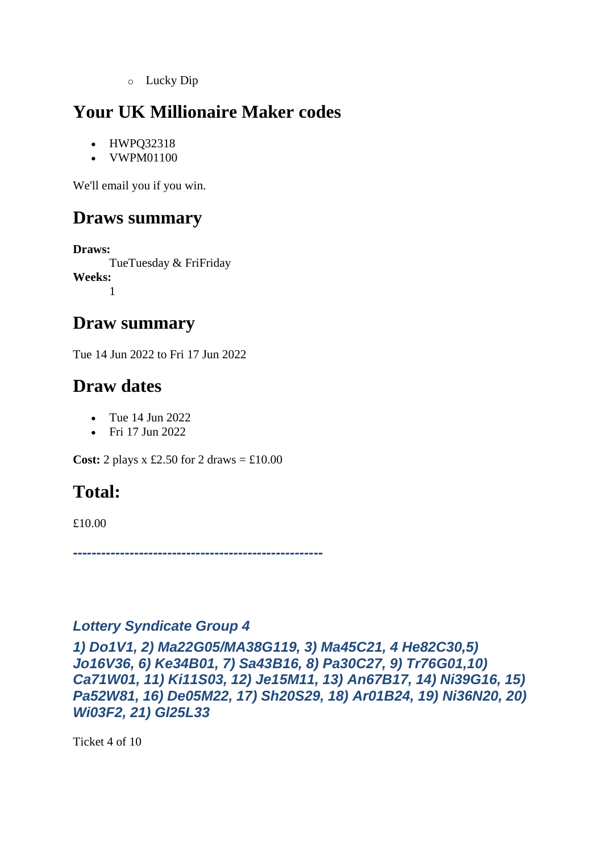o Lucky Dip

# **Your UK Millionaire Maker codes**

- HWPQ32318
- VWPM01100

We'll email you if you win.

### **Draws summary**

**Draws:** TueTuesday & FriFriday **Weeks:** 1

#### **Draw summary**

Tue 14 Jun 2022 to Fri 17 Jun 2022

### **Draw dates**

- Tue 14 Jun 2022
- Fri 17 Jun 2022

**Cost:** 2 plays x £2.50 for 2 draws  $= \text{\textsterling}10.00$ 

### **Total:**

£10.00

*-----------------------------------------------------*

#### *Lottery Syndicate Group 4*

*1) Do1V1, 2) Ma22G05/MA38G119, 3) Ma45C21, 4 He82C30,5) Jo16V36, 6) Ke34B01, 7) Sa43B16, 8) Pa30C27, 9) Tr76G01,10) Ca71W01, 11) Ki11S03, 12) Je15M11, 13) An67B17, 14) Ni39G16, 15) Pa52W81, 16) De05M22, 17) Sh20S29, 18) Ar01B24, 19) Ni36N20, 20) Wi03F2, 21) Gl25L33*

Ticket 4 of 10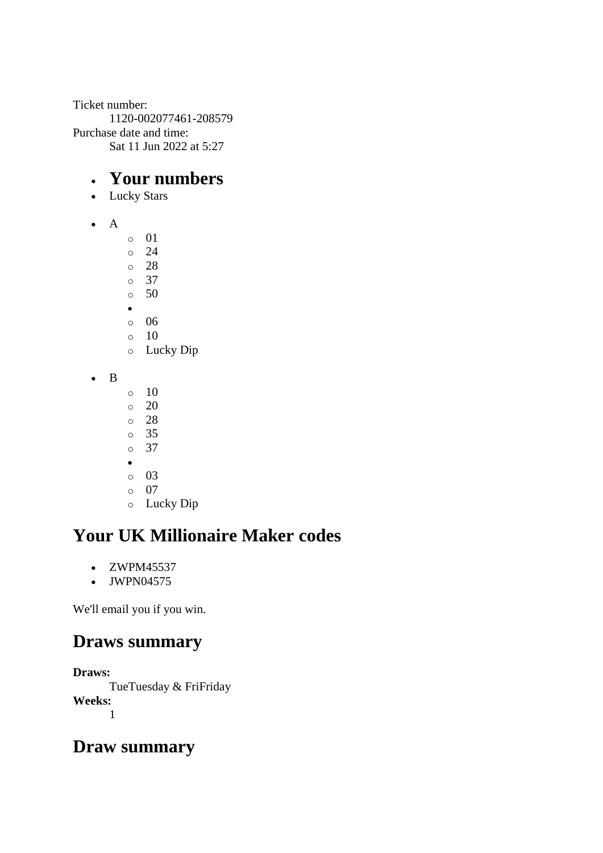Ticket number: 1120-002077461-208579 Purchase date and time: Sat 11 Jun 2022 at 5:27

#### • **Your numbers**

- Lucky Stars
- A
- o 01 o 24 o 28 o 37 o 50 •
- o 06
- o 10 o Lucky Dip
- B
- $\circ$  10
- $\circ$  20
- o 28
- o 35 o 37
- •
- o 03
- o 07
- o Lucky Dip

# **Your UK Millionaire Maker codes**

- ZWPM45537
- JWPN04575

We'll email you if you win.

### **Draws summary**

**Draws:**

TueTuesday & FriFriday **Weeks:** 1

### **Draw summary**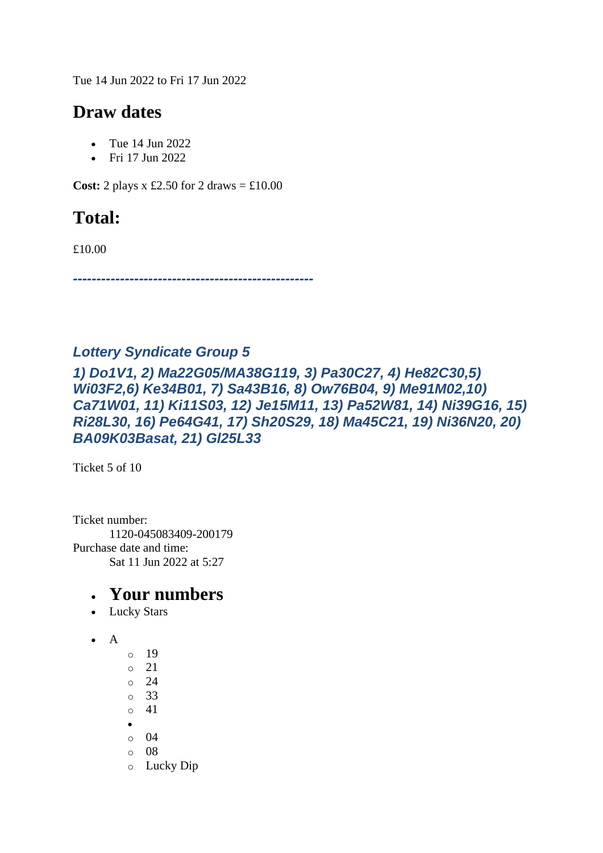Tue 14 Jun 2022 to Fri 17 Jun 2022

#### **Draw dates**

- Tue 14 Jun 2022
- Fri 17 Jun 2022

**Cost:** 2 plays x £2.50 for 2 draws  $=$  £10.00

### **Total:**

£10.00

*---------------------------------------------------*

#### *Lottery Syndicate Group 5*

#### *1) Do1V1, 2) Ma22G05/MA38G119, 3) Pa30C27, 4) He82C30,5) Wi03F2,6) Ke34B01, 7) Sa43B16, 8) Ow76B04, 9) Me91M02,10) Ca71W01, 11) Ki11S03, 12) Je15M11, 13) Pa52W81, 14) Ni39G16, 15) Ri28L30, 16) Pe64G41, 17) Sh20S29, 18) Ma45C21, 19) Ni36N20, 20) BA09K03Basat, 21) Gl25L33*

Ticket 5 of 10

Ticket number: 1120-045083409-200179 Purchase date and time: Sat 11 Jun 2022 at 5:27

- Lucky Stars
- $\bullet$  A
- $\circ$  19 o 21 o 24 o 33 o 41 •  $\circ$  04 o 08 o Lucky Dip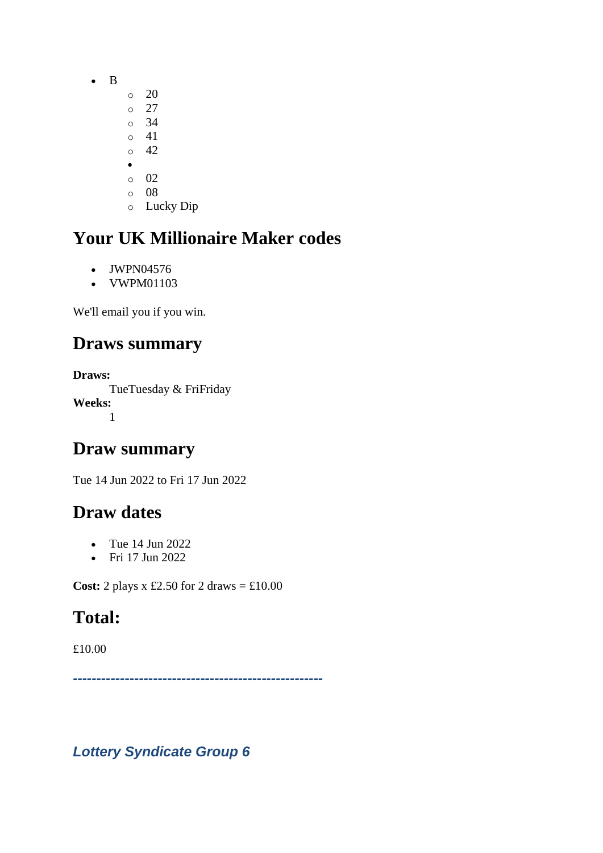- B
	- $\circ$  20
	- $\circ$  27 o 34
	- o 41
	- $\circ$  42
	- •
	- o 02
	- o 08 o Lucky Dip

- JWPN04576
- VWPM01103

We'll email you if you win.

# **Draws summary**

**Draws:** TueTuesday & FriFriday **Weeks:** 1

### **Draw summary**

Tue 14 Jun 2022 to Fri 17 Jun 2022

# **Draw dates**

- Tue 14 Jun 2022
- Fri 17 Jun 2022

**Cost:** 2 plays x £2.50 for 2 draws = £10.00

# **Total:**

£10.00

*-----------------------------------------------------*

*Lottery Syndicate Group 6*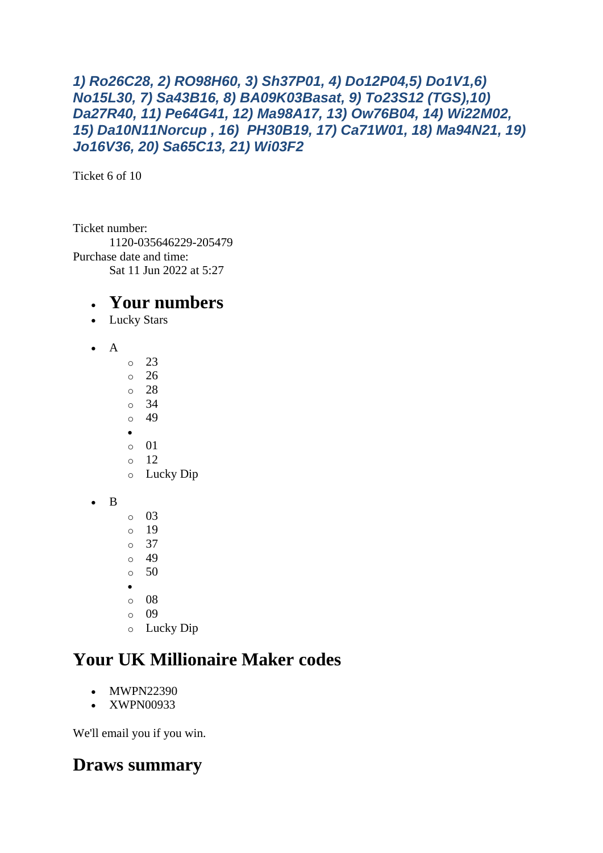#### *1) Ro26C28, 2) RO98H60, 3) Sh37P01, 4) Do12P04,5) Do1V1,6) No15L30, 7) Sa43B16, 8) BA09K03Basat, 9) To23S12 (TGS),10) Da27R40, 11) Pe64G41, 12) Ma98A17, 13) Ow76B04, 14) Wi22M02, 15) Da10N11Norcup , 16) PH30B19, 17) Ca71W01, 18) Ma94N21, 19) Jo16V36, 20) Sa65C13, 21) Wi03F2*

Ticket 6 of 10

Ticket number: 1120-035646229-205479 Purchase date and time: Sat 11 Jun 2022 at 5:27

#### • **Your numbers**

- Lucky Stars
- A
- o 23 o 26 o 28 o 34  $0 \t 49$ • o 01 o 12 o Lucky Dip
- B
- o 03 o 19 o 37
- o 49
- $\circ$  50
- •
- o 08
- o 09
- o Lucky Dip

### **Your UK Millionaire Maker codes**

- MWPN22390
- XWPN00933

We'll email you if you win.

### **Draws summary**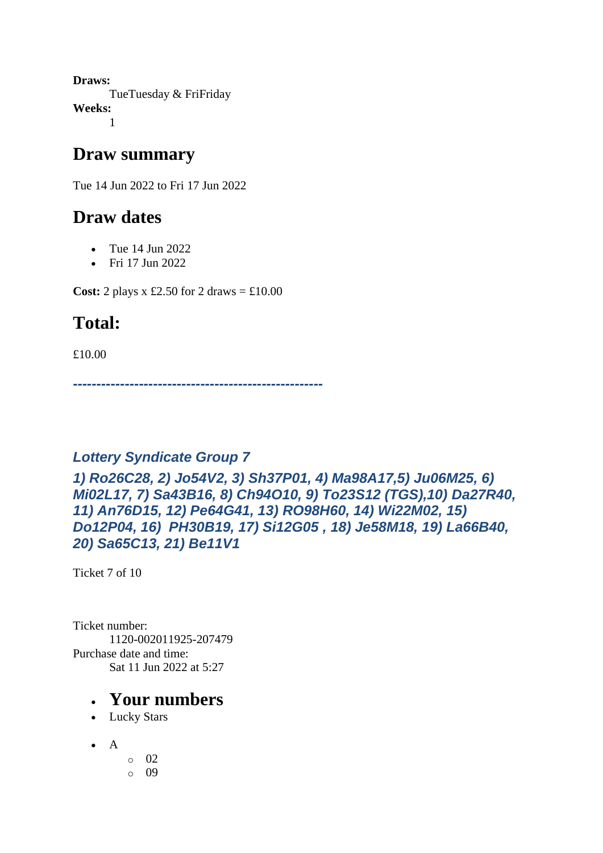**Draws:** TueTuesday & FriFriday **Weeks:** 1

#### **Draw summary**

Tue 14 Jun 2022 to Fri 17 Jun 2022

### **Draw dates**

- Tue 14 Jun 2022
- Fri 17 Jun 2022

**Cost:** 2 plays x £2.50 for 2 draws  $= \text{\textsterling}10.00$ 

### **Total:**

£10.00

*-----------------------------------------------------*

#### *Lottery Syndicate Group 7*

#### *1) Ro26C28, 2) Jo54V2, 3) Sh37P01, 4) Ma98A17,5) Ju06M25, 6) Mi02L17, 7) Sa43B16, 8) Ch94O10, 9) To23S12 (TGS),10) Da27R40, 11) An76D15, 12) Pe64G41, 13) RO98H60, 14) Wi22M02, 15) Do12P04, 16) PH30B19, 17) Si12G05 , 18) Je58M18, 19) La66B40, 20) Sa65C13, 21) Be11V1*

Ticket 7 of 10

Ticket number: 1120-002011925-207479 Purchase date and time: Sat 11 Jun 2022 at 5:27

- Lucky Stars
- $\bullet$  A
	- o 02 o 09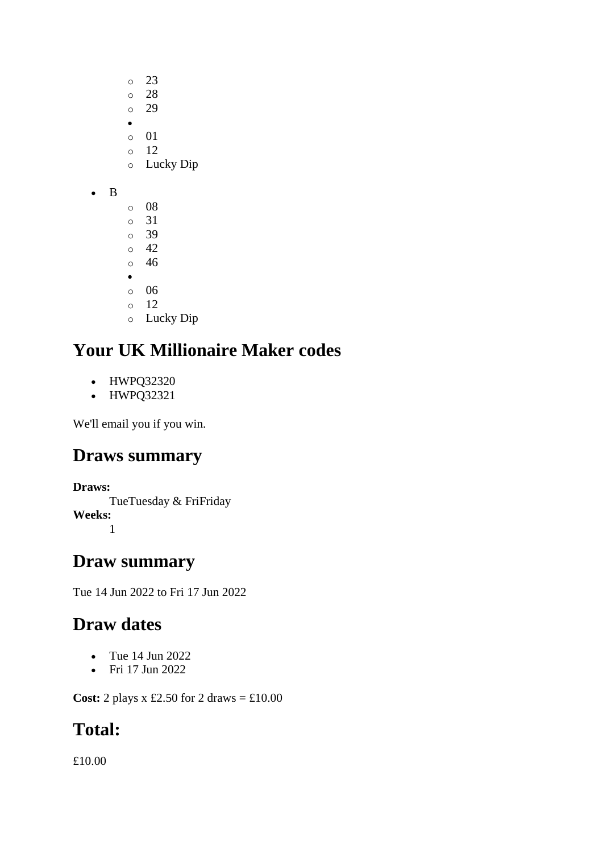- o 23 o 28
- o 29
- •
- o 01 o 12
- o Lucky Dip
- B
- o 08 o 31 o 39 o 42 o 46 • o 06 o 12 o Lucky Dip

- HWPQ32320
- HWPQ32321

We'll email you if you win.

# **Draws summary**

#### **Draws:**

TueTuesday & FriFriday **Weeks:** 1

### **Draw summary**

Tue 14 Jun 2022 to Fri 17 Jun 2022

# **Draw dates**

- Tue 14 Jun 2022
- Fri 17 Jun 2022

**Cost:** 2 plays x £2.50 for 2 draws = £10.00

# **Total:**

£10.00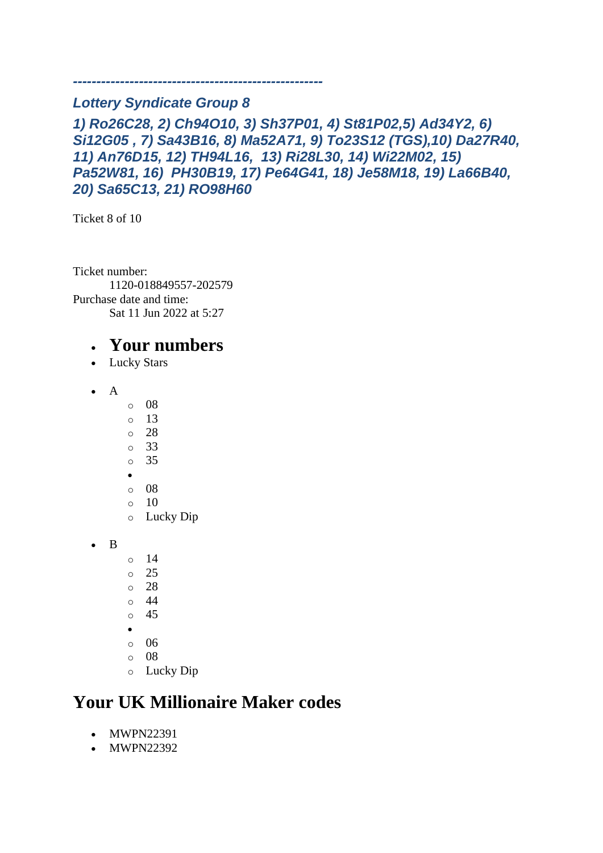#### *Lottery Syndicate Group 8*

*1) Ro26C28, 2) Ch94O10, 3) Sh37P01, 4) St81P02,5) Ad34Y2, 6) Si12G05 , 7) Sa43B16, 8) Ma52A71, 9) To23S12 (TGS),10) Da27R40, 11) An76D15, 12) TH94L16, 13) Ri28L30, 14) Wi22M02, 15) Pa52W81, 16) PH30B19, 17) Pe64G41, 18) Je58M18, 19) La66B40, 20) Sa65C13, 21) RO98H60*

*-----------------------------------------------------*

Ticket 8 of 10

Ticket number: 1120-018849557-202579 Purchase date and time: Sat 11 Jun 2022 at 5:27

#### • **Your numbers**

- Lucky Stars
- A
- o 08
- $\circ$  13
- o 28
- o 33
- o 35
- •
- o 08
- $\circ$  10 o Lucky Dip
- B
- o 14
- o 25
- o 28
- o 44
- o 45
- •
- $\circ$  06
- o 08
- o Lucky Dip

### **Your UK Millionaire Maker codes**

- MWPN22391
- MWPN22392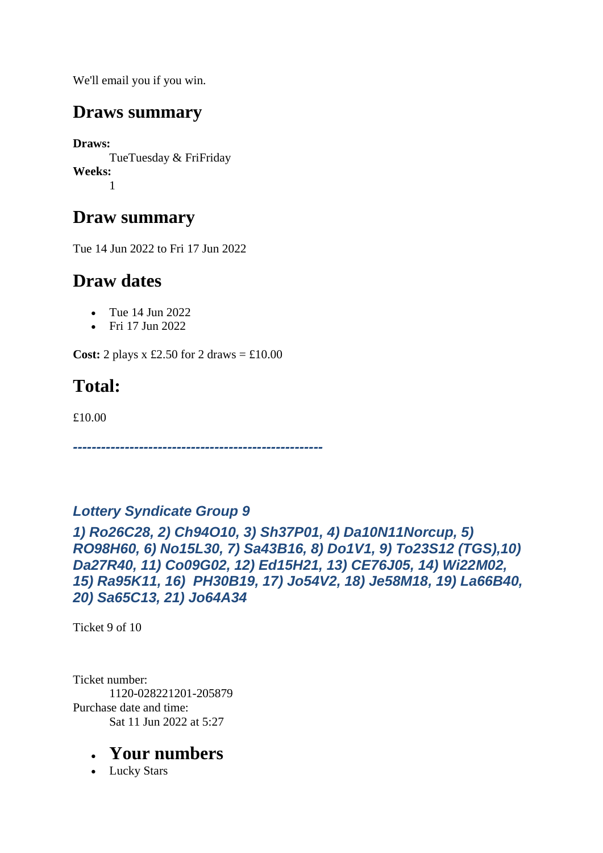We'll email you if you win.

#### **Draws summary**

**Draws:** TueTuesday & FriFriday **Weeks:** 1

### **Draw summary**

Tue 14 Jun 2022 to Fri 17 Jun 2022

### **Draw dates**

- Tue 14 Jun 2022
- Fri 17 Jun 2022

**Cost:** 2 plays x £2.50 for 2 draws  $=$  £10.00

# **Total:**

£10.00

*-----------------------------------------------------*

#### *Lottery Syndicate Group 9*

*1) Ro26C28, 2) Ch94O10, 3) Sh37P01, 4) Da10N11Norcup, 5) RO98H60, 6) No15L30, 7) Sa43B16, 8) Do1V1, 9) To23S12 (TGS),10) Da27R40, 11) Co09G02, 12) Ed15H21, 13) CE76J05, 14) Wi22M02, 15) Ra95K11, 16) PH30B19, 17) Jo54V2, 18) Je58M18, 19) La66B40, 20) Sa65C13, 21) Jo64A34*

Ticket 9 of 10

Ticket number: 1120-028221201-205879 Purchase date and time: Sat 11 Jun 2022 at 5:27

#### • **Your numbers**

• Lucky Stars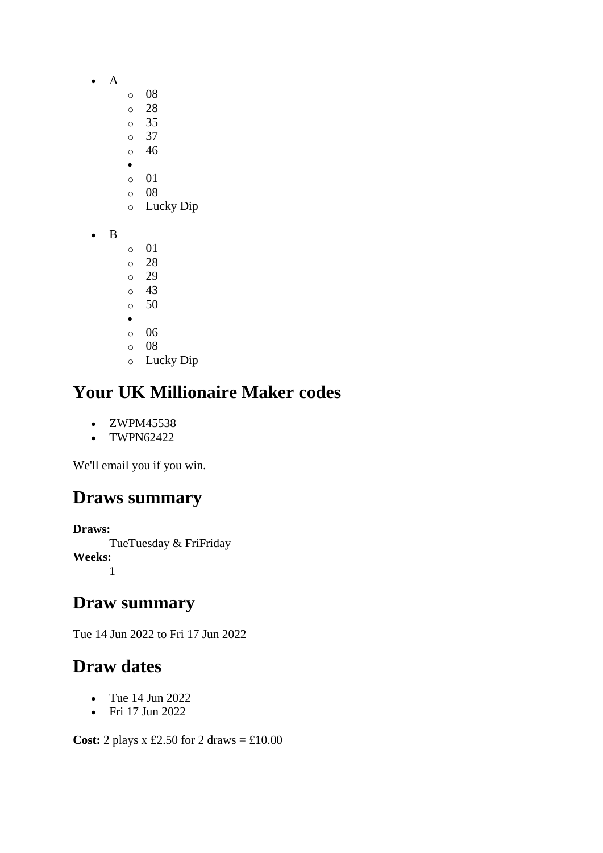- A
- o 08
- o 28
- o 35
- o 37 o 46
- •
- o 01
- o 08
- o Lucky Dip
- B
- o 01
- o 28 o 29
- o 43
- o 50
- •
- o 06
- o 08
- o Lucky Dip

- ZWPM45538
- TWPN62422

We'll email you if you win.

# **Draws summary**

**Draws:**

TueTuesday & FriFriday **Weeks:** 1

# **Draw summary**

Tue 14 Jun 2022 to Fri 17 Jun 2022

# **Draw dates**

- Tue 14 Jun 2022
- Fri 17 Jun 2022

**Cost:** 2 plays x £2.50 for 2 draws = £10.00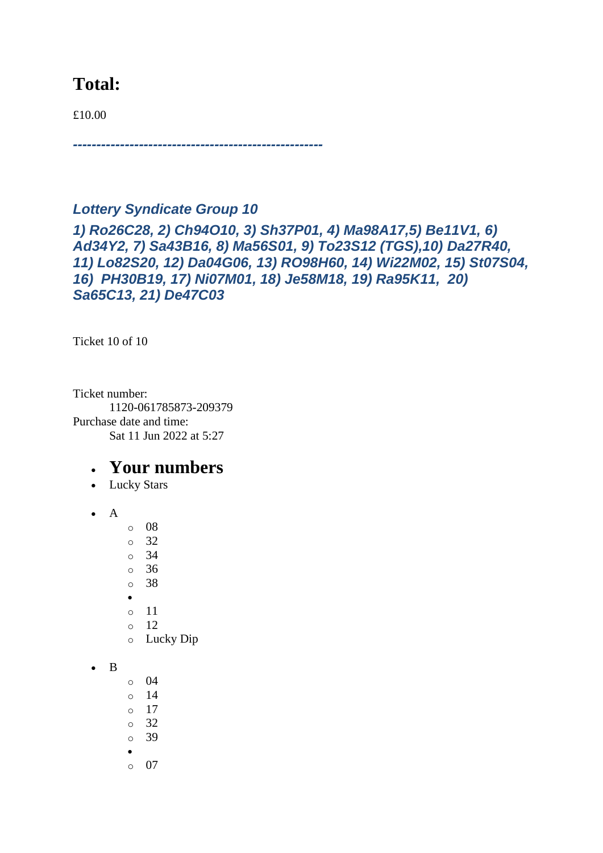#### **Total:**

£10.00

*-----------------------------------------------------*

#### *Lottery Syndicate Group 10*

*1) Ro26C28, 2) Ch94O10, 3) Sh37P01, 4) Ma98A17,5) Be11V1, 6) Ad34Y2, 7) Sa43B16, 8) Ma56S01, 9) To23S12 (TGS),10) Da27R40, 11) Lo82S20, 12) Da04G06, 13) RO98H60, 14) Wi22M02, 15) St07S04, 16) PH30B19, 17) Ni07M01, 18) Je58M18, 19) Ra95K11, 20) Sa65C13, 21) De47C03*

Ticket 10 of 10

Ticket number: 1120-061785873-209379 Purchase date and time: Sat 11 Jun 2022 at 5:27

- Lucky Stars
- A
- o 08
- o 32 o 34
- o 36
- o 38
- •
- o 11
- o 12
- o Lucky Dip
- $\bullet$  B
- o 04
- o 14
- o 17
- o 32
- o 39
- •
- o 07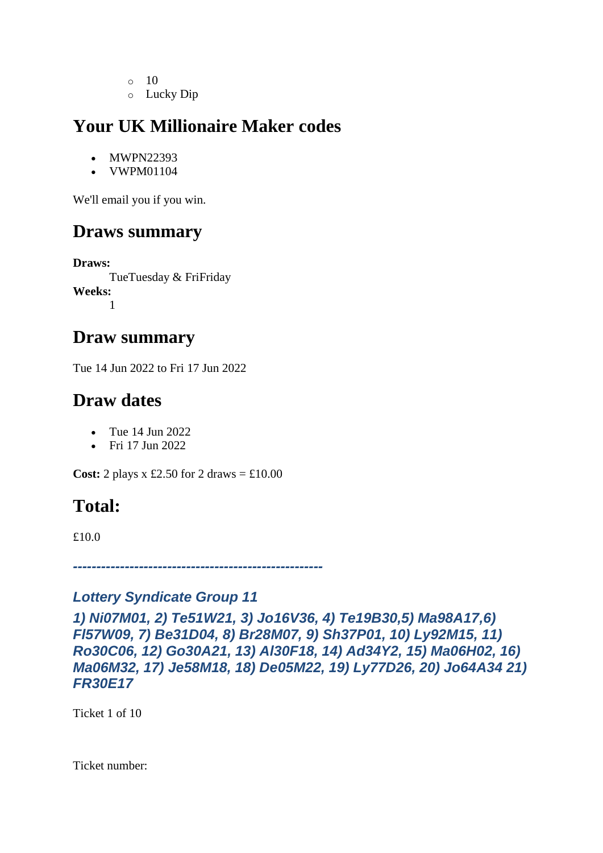- $\circ$  10
- o Lucky Dip

- MWPN22393
- VWPM01104

We'll email you if you win.

### **Draws summary**

**Draws:** TueTuesday & FriFriday **Weeks:** 1

#### **Draw summary**

Tue 14 Jun 2022 to Fri 17 Jun 2022

### **Draw dates**

- Tue 14 Jun 2022
- Fri 17 Jun 2022

**Cost:** 2 plays x £2.50 for 2 draws  $=$  £10.00

### **Total:**

£10.0

*-----------------------------------------------------*

#### *Lottery Syndicate Group 11*

*1) Ni07M01, 2) Te51W21, 3) Jo16V36, 4) Te19B30,5) Ma98A17,6) Fl57W09, 7) Be31D04, 8) Br28M07, 9) Sh37P01, 10) Ly92M15, 11) Ro30C06, 12) Go30A21, 13) Al30F18, 14) Ad34Y2, 15) Ma06H02, 16) Ma06M32, 17) Je58M18, 18) De05M22, 19) Ly77D26, 20) Jo64A34 21) FR30E17*

Ticket 1 of 10

Ticket number: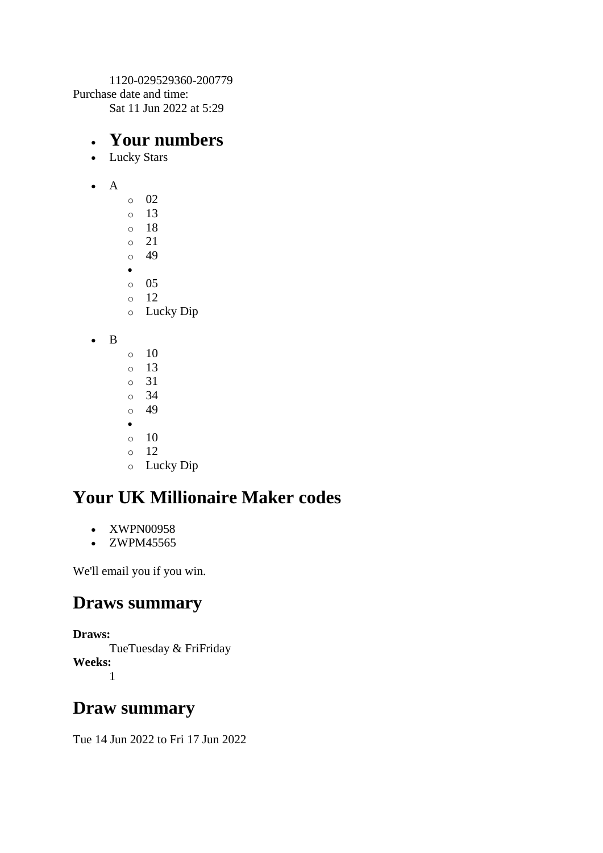1120-029529360-200779 Purchase date and time: Sat 11 Jun 2022 at 5:29

#### • **Your numbers**

- Lucky Stars
- A
- $\circ$  02  $\circ$  13 o 18 o 21 o 49 •  $\circ$  05 o 12 o Lucky Dip
- B
- o 10 o 13 o 31 o 34 o 49 •  $\circ$  10  $\circ$  12 o Lucky Dip

# **Your UK Millionaire Maker codes**

- XWPN00958
- ZWPM45565

We'll email you if you win.

#### **Draws summary**

**Draws:** TueTuesday & FriFriday **Weeks:** 1

### **Draw summary**

Tue 14 Jun 2022 to Fri 17 Jun 2022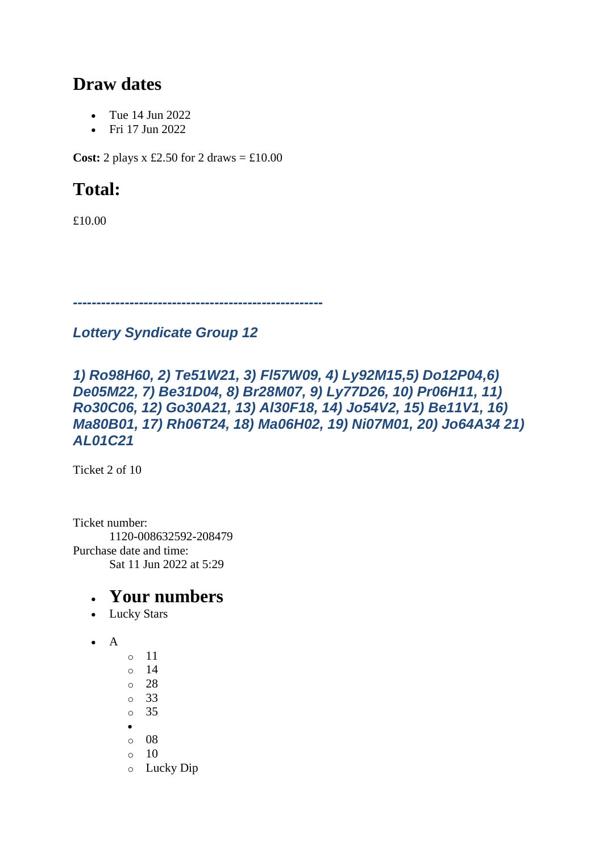### **Draw dates**

- Tue 14 Jun 2022
- Fri 17 Jun 2022

**Cost:** 2 plays x £2.50 for 2 draws  $=$  £10.00

### **Total:**

£10.00

*-----------------------------------------------------*

#### *Lottery Syndicate Group 12*

#### *1) Ro98H60, 2) Te51W21, 3) Fl57W09, 4) Ly92M15,5) Do12P04,6) De05M22, 7) Be31D04, 8) Br28M07, 9) Ly77D26, 10) Pr06H11, 11) Ro30C06, 12) Go30A21, 13) Al30F18, 14) Jo54V2, 15) Be11V1, 16) Ma80B01, 17) Rh06T24, 18) Ma06H02, 19) Ni07M01, 20) Jo64A34 21) AL01C21*

Ticket 2 of 10

Ticket number: 1120-008632592-208479 Purchase date and time: Sat 11 Jun 2022 at 5:29

- Lucky Stars
- $\bullet$  A
- o 11 o 14 o 28
- o 33
- o 35
- •
- o 08
- $\circ$  10
- o Lucky Dip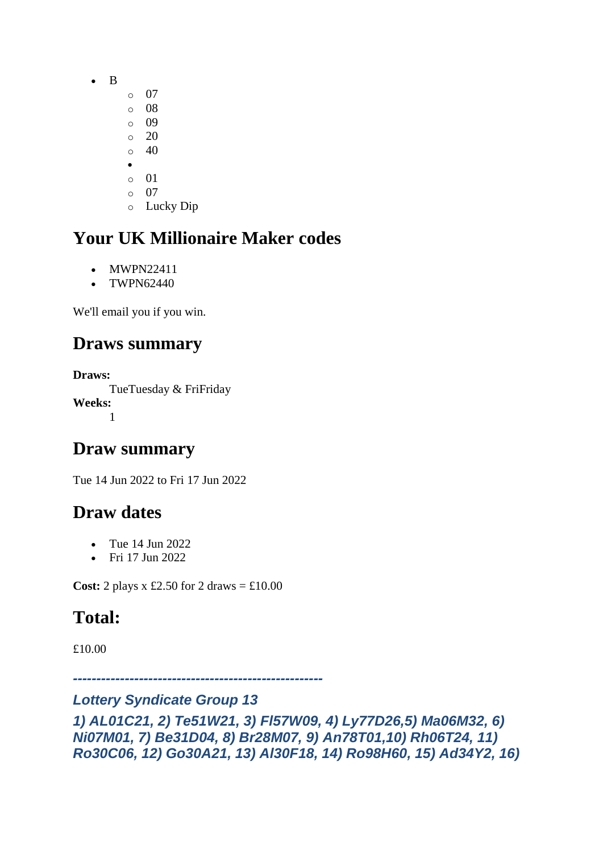- B
	- $\circ$  07
	- o 08
	- $\circ$  09 o 20
	- $\circ$  40
	- •
	- $\circ$  01
	- o 07
	- o Lucky Dip

- MWPN22411
- TWPN62440

We'll email you if you win.

### **Draws summary**

**Draws:** TueTuesday & FriFriday **Weeks:** 1

### **Draw summary**

Tue 14 Jun 2022 to Fri 17 Jun 2022

### **Draw dates**

- Tue 14 Jun 2022
- Fri 17 Jun 2022

**Cost:** 2 plays x £2.50 for 2 draws  $= \text{\textsterling}10.00$ 

# **Total:**

£10.00

*-----------------------------------------------------*

#### *Lottery Syndicate Group 13*

```
1) AL01C21, 2) Te51W21, 3) Fl57W09, 4) Ly77D26,5) Ma06M32, 6) 
Ni07M01, 7) Be31D04, 8) Br28M07, 9) An78T01,10) Rh06T24, 11) 
Ro30C06, 12) Go30A21, 13) Al30F18, 14) Ro98H60, 15) Ad34Y2, 16)
```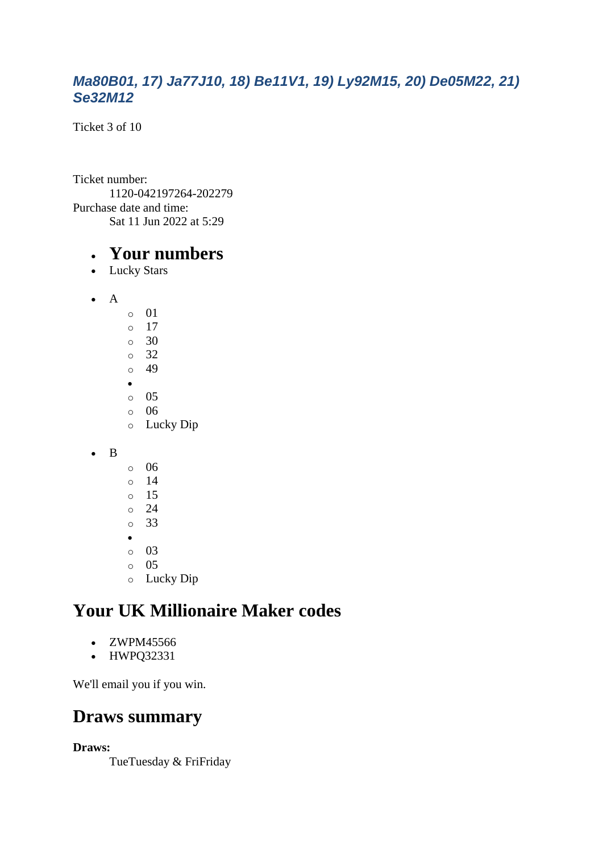#### *Ma80B01, 17) Ja77J10, 18) Be11V1, 19) Ly92M15, 20) De05M22, 21) Se32M12*

Ticket 3 of 10

Ticket number: 1120-042197264-202279 Purchase date and time: Sat 11 Jun 2022 at 5:29

#### • **Your numbers**

- Lucky Stars
- $\bullet$  A  $\circ$  01
	- o 17  $\circ$  30 o 32 o 49 • o 05 o 06 o Lucky Dip
- B
- o 06  $\circ$  14 o 15
- $\circ$  24
- o 33
- •
- o 03
- o 05 o Lucky Dip

### **Your UK Millionaire Maker codes**

- ZWPM45566
- HWPQ32331

We'll email you if you win.

### **Draws summary**

**Draws:**

TueTuesday & FriFriday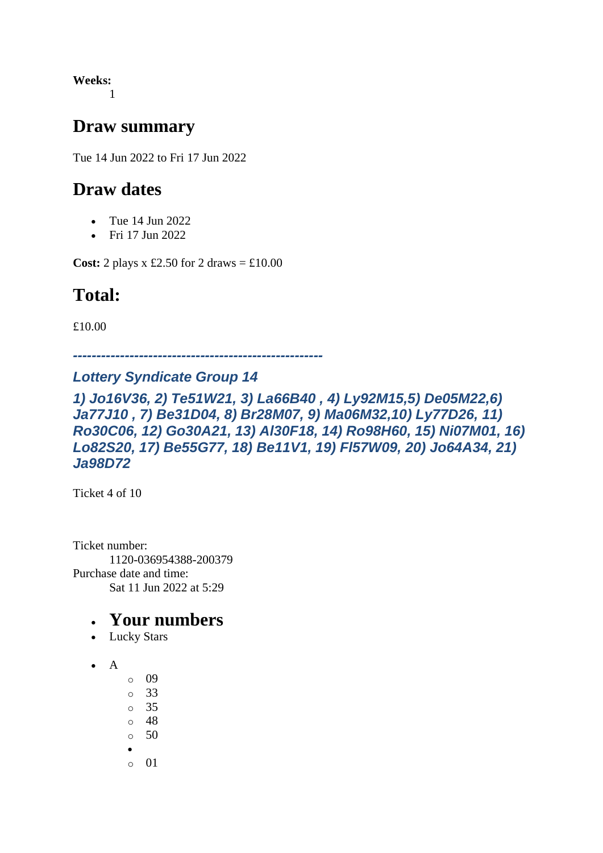**Weeks:** 1

#### **Draw summary**

Tue 14 Jun 2022 to Fri 17 Jun 2022

### **Draw dates**

- Tue 14 Jun 2022
- Fri 17 Jun 2022

**Cost:** 2 plays x £2.50 for 2 draws  $= \text{\textsterling}10.00$ 

# **Total:**

£10.00

*-----------------------------------------------------*

#### *Lottery Syndicate Group 14*

*1) Jo16V36, 2) Te51W21, 3) La66B40 , 4) Ly92M15,5) De05M22,6) Ja77J10 , 7) Be31D04, 8) Br28M07, 9) Ma06M32,10) Ly77D26, 11) Ro30C06, 12) Go30A21, 13) Al30F18, 14) Ro98H60, 15) Ni07M01, 16) Lo82S20, 17) Be55G77, 18) Be11V1, 19) Fl57W09, 20) Jo64A34, 21) Ja98D72*

Ticket 4 of 10

Ticket number: 1120-036954388-200379 Purchase date and time: Sat 11 Jun 2022 at 5:29

- Lucky Stars
- $\bullet$  A
	- o 09
	- o 33
	- o 35
	- o 48
	- $\circ$  50
	- •
	- o 01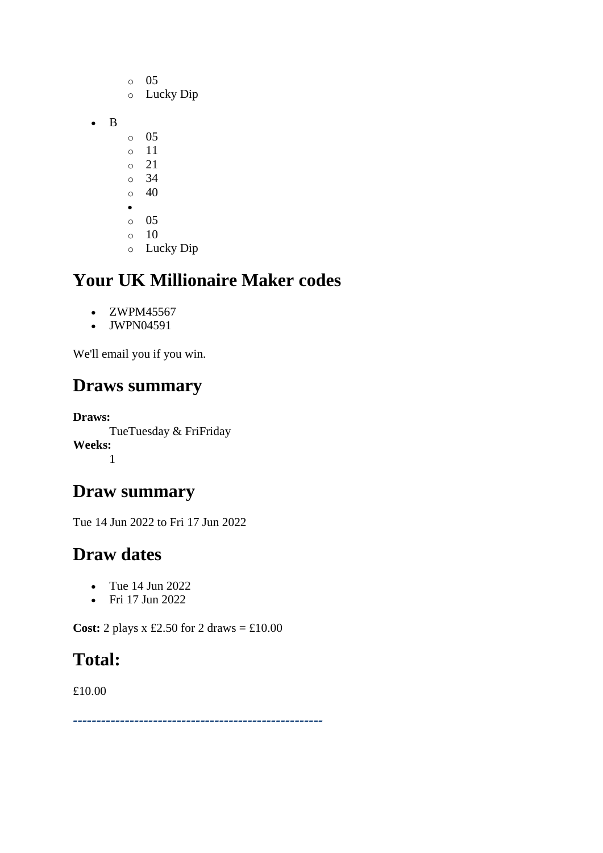o 05 o Lucky Dip • B o 05 o 11 o 21 o 34  $\circ$  40 •  $\circ$  05  $\circ$  10 o Lucky Dip

### **Your UK Millionaire Maker codes**

- ZWPM45567
- JWPN04591

We'll email you if you win.

### **Draws summary**

**Draws:** TueTuesday & FriFriday **Weeks:** 1

### **Draw summary**

Tue 14 Jun 2022 to Fri 17 Jun 2022

### **Draw dates**

- Tue 14 Jun 2022
- Fri 17 Jun 2022

**Cost:** 2 plays x £2.50 for 2 draws = £10.00

### **Total:**

£10.00

*-----------------------------------------------------*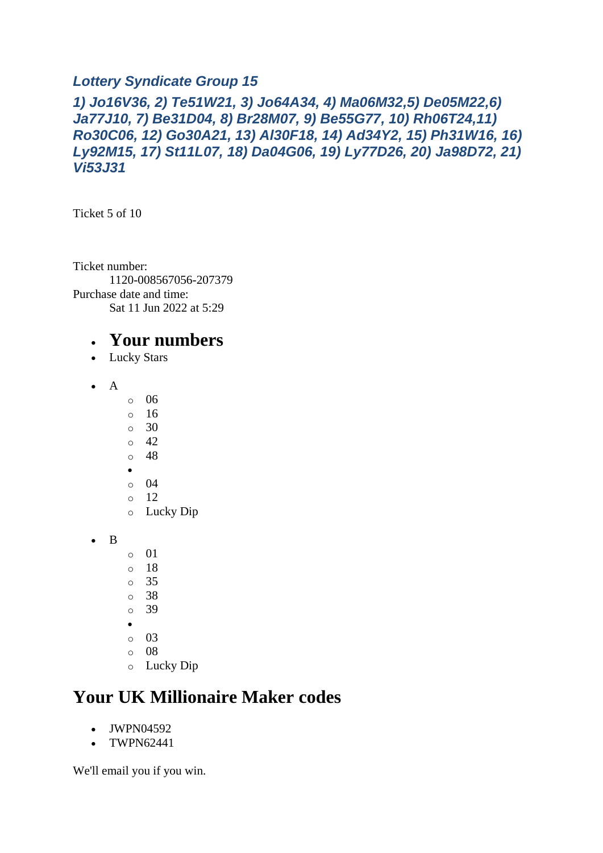#### *Lottery Syndicate Group 15*

#### *1) Jo16V36, 2) Te51W21, 3) Jo64A34, 4) Ma06M32,5) De05M22,6) Ja77J10, 7) Be31D04, 8) Br28M07, 9) Be55G77, 10) Rh06T24,11) Ro30C06, 12) Go30A21, 13) Al30F18, 14) Ad34Y2, 15) Ph31W16, 16) Ly92M15, 17) St11L07, 18) Da04G06, 19) Ly77D26, 20) Ja98D72, 21) Vi53J31*

Ticket 5 of 10

Ticket number: 1120-008567056-207379 Purchase date and time: Sat 11 Jun 2022 at 5:29

#### • **Your numbers**

- Lucky Stars
- A
- o 06
- o 16
- o 30
- o 42 o 48
- •
- o 04
- o 12
- o Lucky Dip
- B
- $\circ$  01
- o 18
- o 35
- o 38
- o 39
- •
- o 03
- o 08 o Lucky Dip

# **Your UK Millionaire Maker codes**

- JWPN04592
- TWPN62441

We'll email you if you win.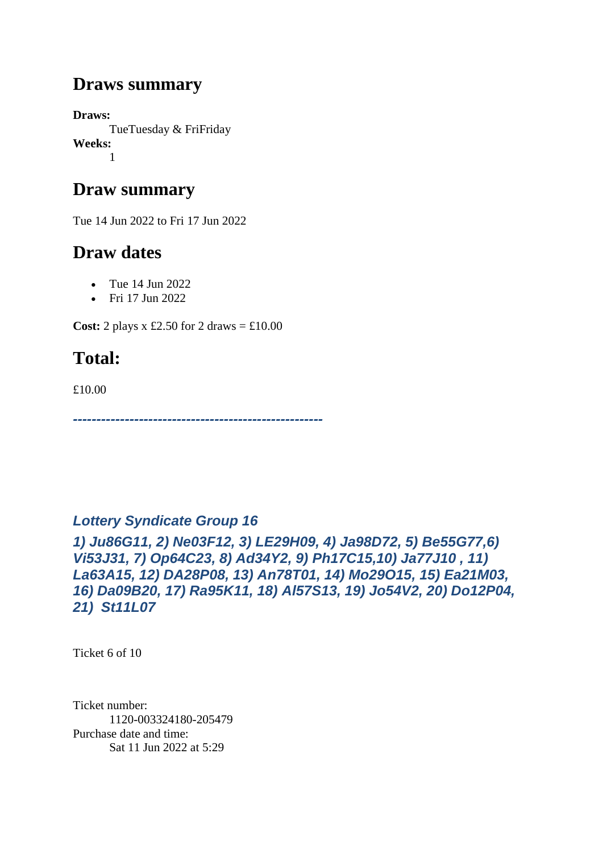#### **Draws summary**

**Draws:** TueTuesday & FriFriday **Weeks:** 1

### **Draw summary**

Tue 14 Jun 2022 to Fri 17 Jun 2022

### **Draw dates**

- Tue 14 Jun 2022
- Fri 17 Jun 2022

**Cost:** 2 plays x £2.50 for 2 draws  $= \text{\textsterling}10.00$ 

### **Total:**

£10.00

*-----------------------------------------------------*

#### *Lottery Syndicate Group 16*

*1) Ju86G11, 2) Ne03F12, 3) LE29H09, 4) Ja98D72, 5) Be55G77,6) Vi53J31, 7) Op64C23, 8) Ad34Y2, 9) Ph17C15,10) Ja77J10 , 11) La63A15, 12) DA28P08, 13) An78T01, 14) Mo29O15, 15) Ea21M03, 16) Da09B20, 17) Ra95K11, 18) Al57S13, 19) Jo54V2, 20) Do12P04, 21) St11L07*

Ticket 6 of 10

Ticket number: 1120-003324180-205479 Purchase date and time: Sat 11 Jun 2022 at 5:29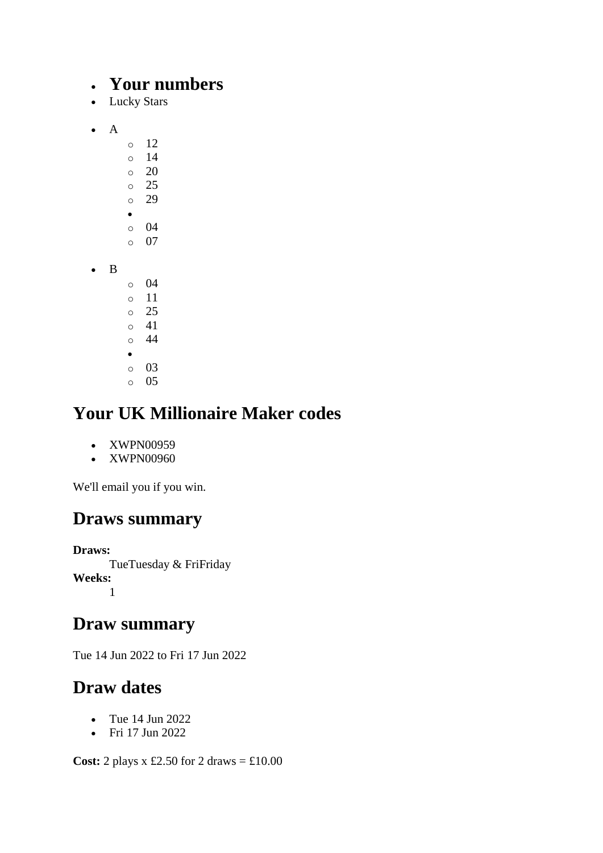#### • **Your numbers**

- Lucky Stars
- A
- o 12 o 14 o 20 o 25 o 29 • o 04  $\circ$  07 • B o 04 o 11 o 25 o 41 o 44 • o 03 o 05

# **Your UK Millionaire Maker codes**

- XWPN00959
- XWPN00960

We'll email you if you win.

### **Draws summary**

**Draws:** TueTuesday & FriFriday **Weeks:** 1

#### **Draw summary**

Tue 14 Jun 2022 to Fri 17 Jun 2022

### **Draw dates**

- Tue 14 Jun 2022
- Fri 17 Jun 2022

**Cost:** 2 plays x £2.50 for 2 draws = £10.00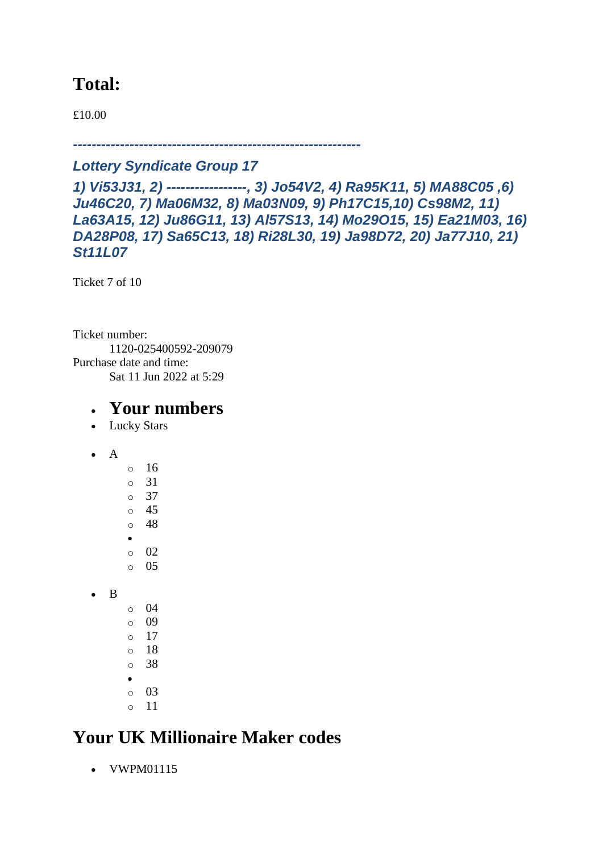### **Total:**

£10.00

*-------------------------------------------------------------*

#### *Lottery Syndicate Group 17*

*1) Vi53J31, 2) -----------------, 3) Jo54V2, 4) Ra95K11, 5) MA88C05 ,6) Ju46C20, 7) Ma06M32, 8) Ma03N09, 9) Ph17C15,10) Cs98M2, 11) La63A15, 12) Ju86G11, 13) Al57S13, 14) Mo29O15, 15) Ea21M03, 16) DA28P08, 17) Sa65C13, 18) Ri28L30, 19) Ja98D72, 20) Ja77J10, 21) St11L07*

Ticket 7 of 10

Ticket number: 1120-025400592-209079 Purchase date and time: Sat 11 Jun 2022 at 5:29

#### • **Your numbers**

- Lucky Stars
- A

• B

- o 16 o 31 o 37 o 45 o 48 • o 02  $\circ$  05  $\circ$  04 o 09
- o 17
- o 18
- o 38
- o 03
- o 11

# **Your UK Millionaire Maker codes**

• VWPM01115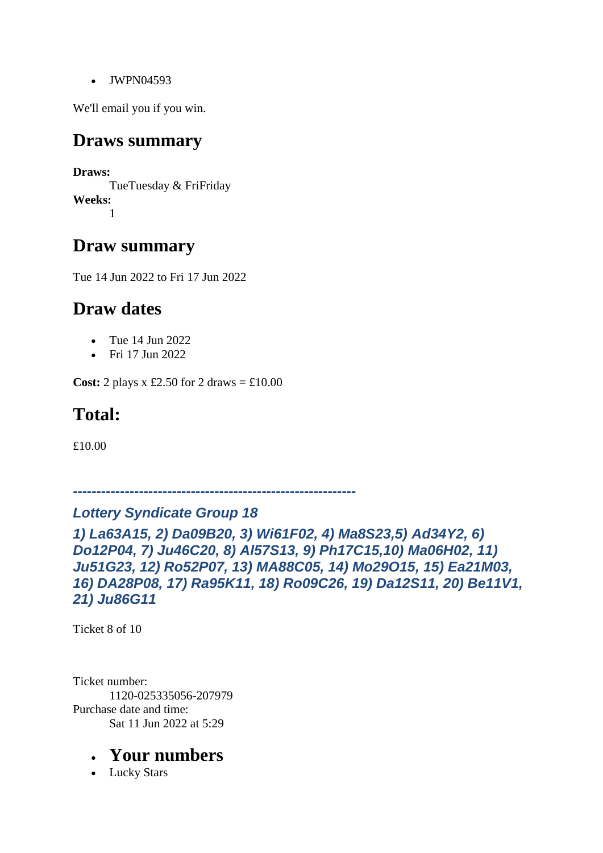• JWPN04593

We'll email you if you win.

#### **Draws summary**

**Draws:** TueTuesday & FriFriday **Weeks:** 1

#### **Draw summary**

Tue 14 Jun 2022 to Fri 17 Jun 2022

### **Draw dates**

- Tue 14 Jun 2022
- Fri 17 Jun 2022

**Cost:** 2 plays x £2.50 for 2 draws  $=$  £10.00

### **Total:**

£10.00

*------------------------------------------------------------*

#### *Lottery Syndicate Group 18*

*1) La63A15, 2) Da09B20, 3) Wi61F02, 4) Ma8S23,5) Ad34Y2, 6) Do12P04, 7) Ju46C20, 8) Al57S13, 9) Ph17C15,10) Ma06H02, 11) Ju51G23, 12) Ro52P07, 13) MA88C05, 14) Mo29O15, 15) Ea21M03, 16) DA28P08, 17) Ra95K11, 18) Ro09C26, 19) Da12S11, 20) Be11V1, 21) Ju86G11*

Ticket 8 of 10

Ticket number: 1120-025335056-207979 Purchase date and time: Sat 11 Jun 2022 at 5:29

#### • **Your numbers**

• Lucky Stars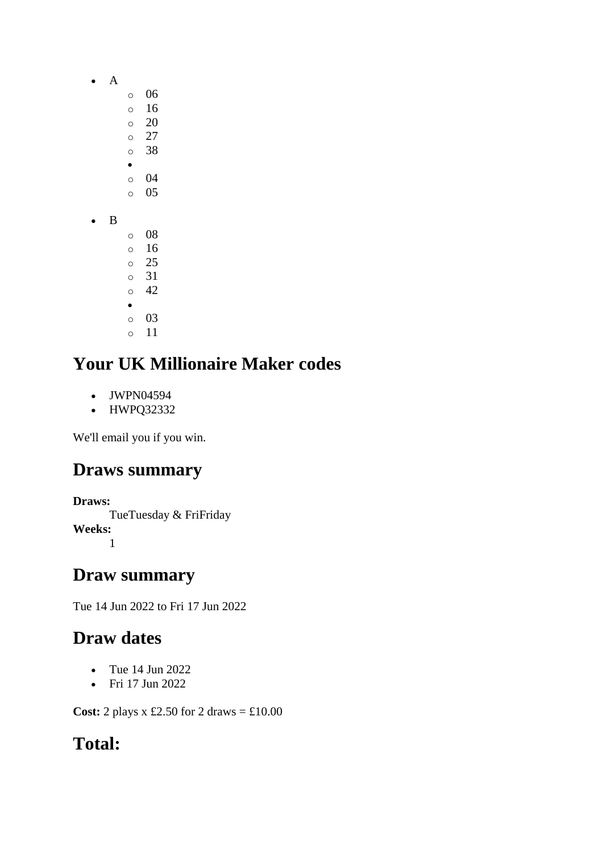- A
	- o 06
		- o 16
		- $\circ$  20 o 27
		- o 38
		- •
		- o 04 o 05
- B
- o 08 o 16 o 25 o 31 o 42 • o 03 o 11

- JWPN04594
- HWPQ32332

We'll email you if you win.

### **Draws summary**

**Draws:** TueTuesday & FriFriday **Weeks:** 1

### **Draw summary**

Tue 14 Jun 2022 to Fri 17 Jun 2022

# **Draw dates**

- Tue 14 Jun 2022
- Fri 17 Jun 2022

**Cost:** 2 plays x £2.50 for 2 draws = £10.00

# **Total:**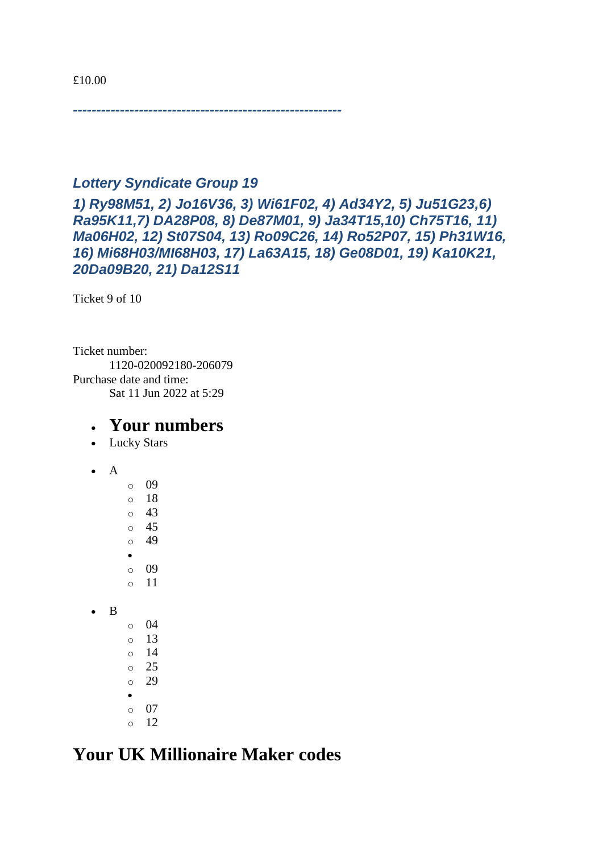£10.00

*---------------------------------------------------------*

#### *Lottery Syndicate Group 19*

*1) Ry98M51, 2) Jo16V36, 3) Wi61F02, 4) Ad34Y2, 5) Ju51G23,6) Ra95K11,7) DA28P08, 8) De87M01, 9) Ja34T15,10) Ch75T16, 11) Ma06H02, 12) St07S04, 13) Ro09C26, 14) Ro52P07, 15) Ph31W16, 16) Mi68H03/MI68H03, 17) La63A15, 18) Ge08D01, 19) Ka10K21, 20Da09B20, 21) Da12S11*

Ticket 9 of 10

Ticket number: 1120-020092180-206079 Purchase date and time: Sat 11 Jun 2022 at 5:29

#### • **Your numbers**

- Lucky Stars
- A

o 09 o 18 o 43 o 45 o 49 • o 09 o 11 • B o 04  $\circ$  13  $\circ$  14 o 25 o 29 • o 07  $\circ$  12

#### **Your UK Millionaire Maker codes**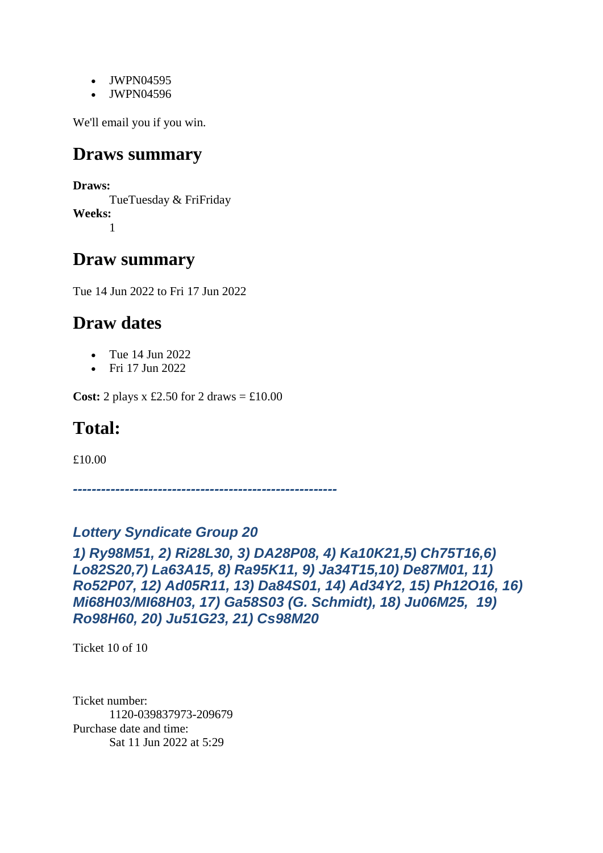- JWPN04595
- JWPN04596

We'll email you if you win.

#### **Draws summary**

**Draws:**

TueTuesday & FriFriday **Weeks:** 1

### **Draw summary**

Tue 14 Jun 2022 to Fri 17 Jun 2022

#### **Draw dates**

- Tue 14 Jun 2022
- Fri 17 Jun 2022

**Cost:** 2 plays x £2.50 for 2 draws  $=$  £10.00

### **Total:**

£10.00

*--------------------------------------------------------*

#### *Lottery Syndicate Group 20*

*1) Ry98M51, 2) Ri28L30, 3) DA28P08, 4) Ka10K21,5) Ch75T16,6) Lo82S20,7) La63A15, 8) Ra95K11, 9) Ja34T15,10) De87M01, 11) Ro52P07, 12) Ad05R11, 13) Da84S01, 14) Ad34Y2, 15) Ph12O16, 16) Mi68H03/MI68H03, 17) Ga58S03 (G. Schmidt), 18) Ju06M25, 19) Ro98H60, 20) Ju51G23, 21) Cs98M20*

Ticket 10 of 10

Ticket number: 1120-039837973-209679 Purchase date and time: Sat 11 Jun 2022 at 5:29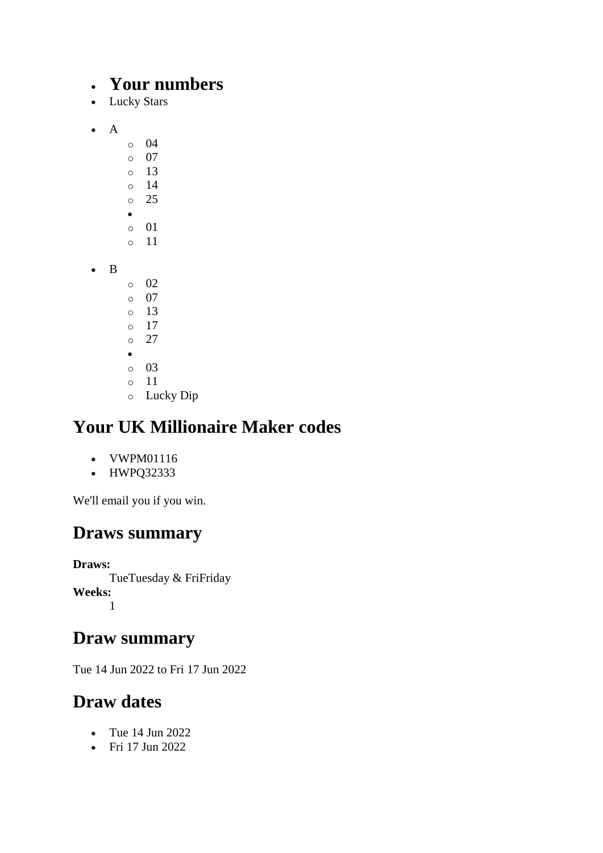#### • **Your numbers**

- Lucky Stars
- A
- o 04  $\circ$  07 o 13 o 14 o 25 • o 01
- B
	- $\circ$  02 o 07

o 11

- o 13
- o 17 o 27
- •
- o 03
- o 11
- o Lucky Dip

# **Your UK Millionaire Maker codes**

- VWPM01116
- HWPQ32333

We'll email you if you win.

# **Draws summary**

**Draws:** TueTuesday & FriFriday **Weeks:** 1

# **Draw summary**

Tue 14 Jun 2022 to Fri 17 Jun 2022

# **Draw dates**

- Tue 14 Jun 2022
- Fri 17 Jun 2022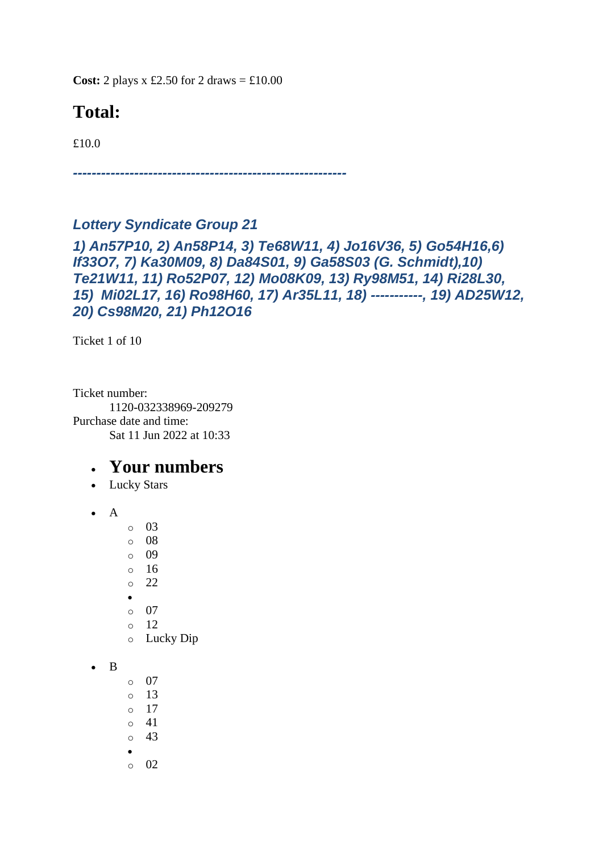**Cost:** 2 plays x £2.50 for 2 draws  $= \text{\textsterling}10.00$ 

# **Total:**

£10.0

*----------------------------------------------------------*

#### *Lottery Syndicate Group 21*

*1) An57P10, 2) An58P14, 3) Te68W11, 4) Jo16V36, 5) Go54H16,6) If33O7, 7) Ka30M09, 8) Da84S01, 9) Ga58S03 (G. Schmidt),10) Te21W11, 11) Ro52P07, 12) Mo08K09, 13) Ry98M51, 14) Ri28L30, 15) Mi02L17, 16) Ro98H60, 17) Ar35L11, 18) -----------, 19) AD25W12, 20) Cs98M20, 21) Ph12O16*

Ticket 1 of 10

Ticket number: 1120-032338969-209279 Purchase date and time: Sat 11 Jun 2022 at 10:33

- Lucky Stars
- $\bullet$  A
- o 03
- o 08
- $\circ$  09
- o 16 o 22
- 
- o 07
- o 12
- o Lucky Dip
- B
- o 07
- o 13
- o 17
- o 41
- o 43
- •
- $\circ$  02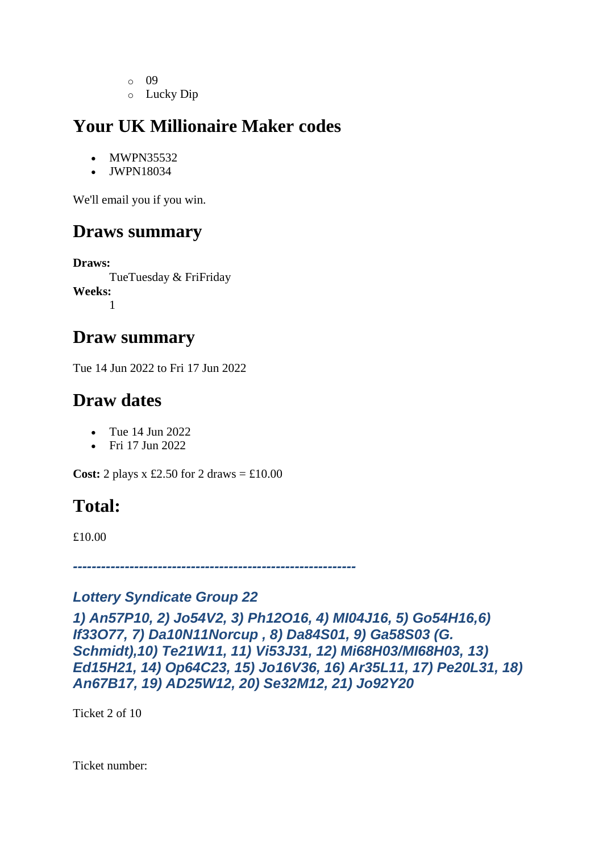- o 09
- o Lucky Dip

- MWPN35532
- JWPN18034

We'll email you if you win.

### **Draws summary**

**Draws:** TueTuesday & FriFriday **Weeks:** 1

#### **Draw summary**

Tue 14 Jun 2022 to Fri 17 Jun 2022

### **Draw dates**

- Tue 14 Jun 2022
- Fri 17 Jun 2022

**Cost:** 2 plays x £2.50 for 2 draws  $=$  £10.00

# **Total:**

£10.00

*------------------------------------------------------------*

#### *Lottery Syndicate Group 22*

*1) An57P10, 2) Jo54V2, 3) Ph12O16, 4) MI04J16, 5) Go54H16,6) If33O77, 7) Da10N11Norcup , 8) Da84S01, 9) Ga58S03 (G. Schmidt),10) Te21W11, 11) Vi53J31, 12) Mi68H03/MI68H03, 13) Ed15H21, 14) Op64C23, 15) Jo16V36, 16) Ar35L11, 17) Pe20L31, 18) An67B17, 19) AD25W12, 20) Se32M12, 21) Jo92Y20*

Ticket 2 of 10

Ticket number: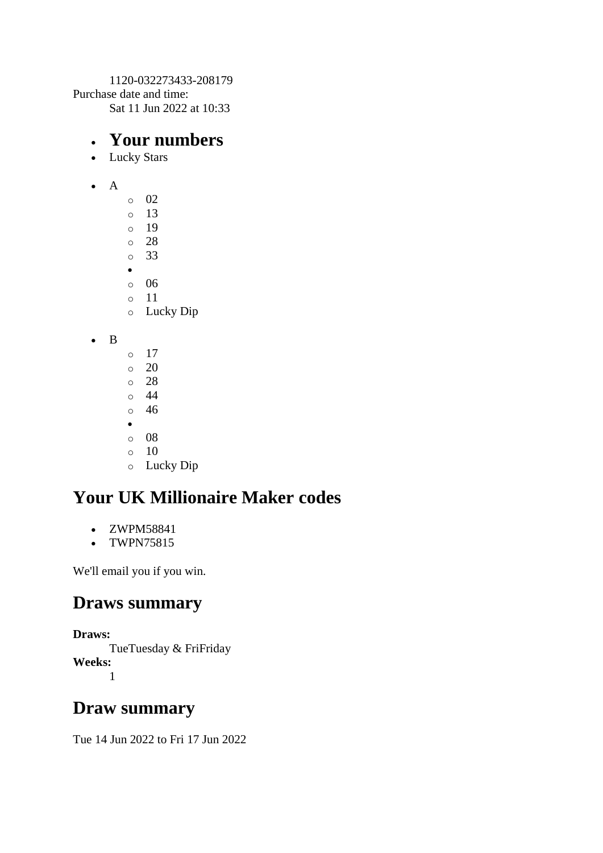1120-032273433-208179 Purchase date and time: Sat 11 Jun 2022 at 10:33

#### • **Your numbers**

- Lucky Stars
- A
- $\circ$  02 o 13 o 19 o 28 o 33 • o 06 o 11 o Lucky Dip

• B

- o 17  $\circ$  20 o 28 o 44 o 46 •
- o 08
- $\circ$  10
- o Lucky Dip

# **Your UK Millionaire Maker codes**

- ZWPM58841
- TWPN75815

We'll email you if you win.

#### **Draws summary**

**Draws:** TueTuesday & FriFriday **Weeks:** 1

### **Draw summary**

Tue 14 Jun 2022 to Fri 17 Jun 2022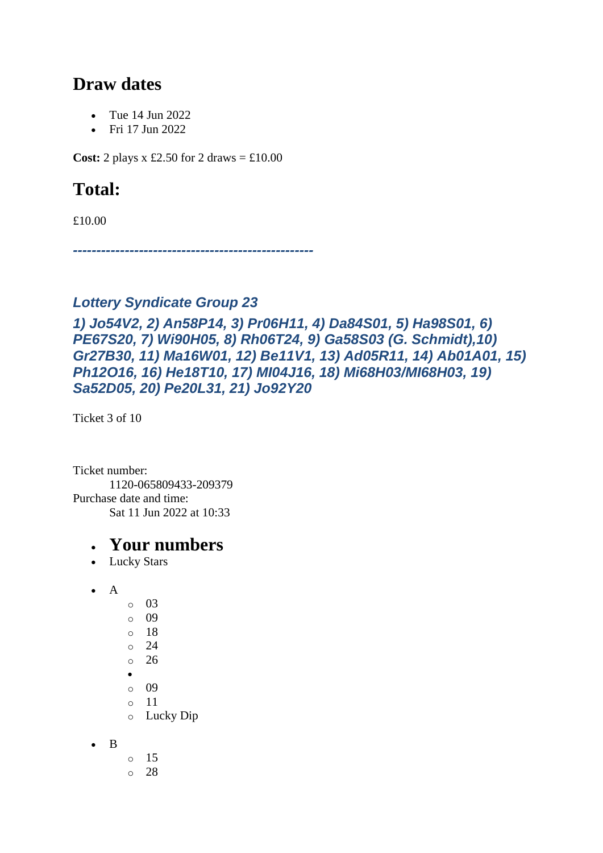### **Draw dates**

- Tue 14 Jun 2022
- Fri 17 Jun 2022

**Cost:** 2 plays x £2.50 for 2 draws  $=$  £10.00

# **Total:**

£10.00

*---------------------------------------------------*

#### *Lottery Syndicate Group 23*

*1) Jo54V2, 2) An58P14, 3) Pr06H11, 4) Da84S01, 5) Ha98S01, 6) PE67S20, 7) Wi90H05, 8) Rh06T24, 9) Ga58S03 (G. Schmidt),10) Gr27B30, 11) Ma16W01, 12) Be11V1, 13) Ad05R11, 14) Ab01A01, 15) Ph12O16, 16) He18T10, 17) MI04J16, 18) Mi68H03/MI68H03, 19) Sa52D05, 20) Pe20L31, 21) Jo92Y20*

Ticket 3 of 10

Ticket number: 1120-065809433-209379 Purchase date and time: Sat 11 Jun 2022 at 10:33

- Lucky Stars
- A
	- o 03 o 09 o 18 o 24 o 26 • o 09 o 11 o Lucky Dip
- B
	- o 15
	- o 28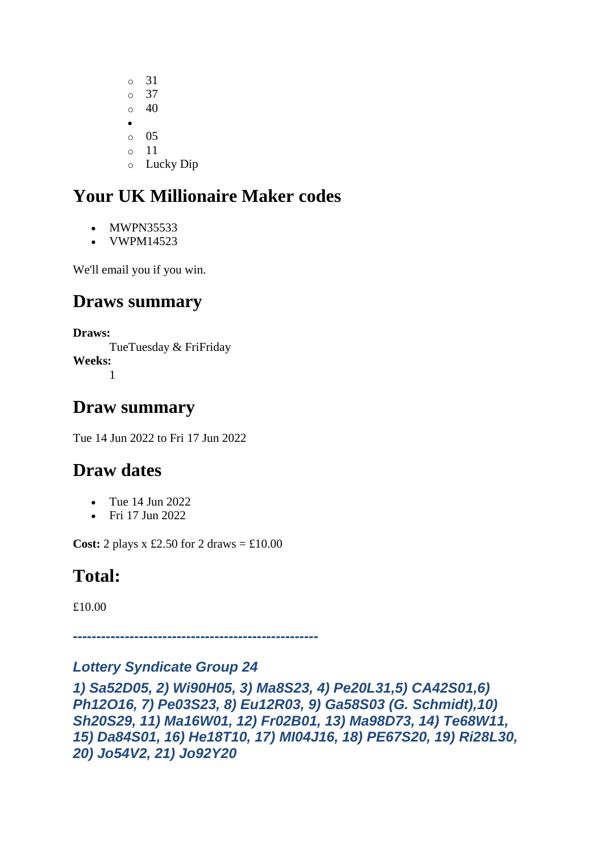o 31 o 37 o 40 • o 05 o 11 o Lucky Dip

# **Your UK Millionaire Maker codes**

- MWPN35533
- VWPM14523

We'll email you if you win.

### **Draws summary**

**Draws:** TueTuesday & FriFriday **Weeks:** 1

### **Draw summary**

Tue 14 Jun 2022 to Fri 17 Jun 2022

### **Draw dates**

- Tue 14 Jun 2022
- Fri 17 Jun 2022

**Cost:** 2 plays  $x \text{ £}2.50$  for 2 draws =  $\text{£}10.00$ 

# **Total:**

£10.00

*----------------------------------------------------*

#### *Lottery Syndicate Group 24*

*1) Sa52D05, 2) Wi90H05, 3) Ma8S23, 4) Pe20L31,5) CA42S01,6) Ph12O16, 7) Pe03S23, 8) Eu12R03, 9) Ga58S03 (G. Schmidt),10) Sh20S29, 11) Ma16W01, 12) Fr02B01, 13) Ma98D73, 14) Te68W11, 15) Da84S01, 16) He18T10, 17) MI04J16, 18) PE67S20, 19) Ri28L30, 20) Jo54V2, 21) Jo92Y20*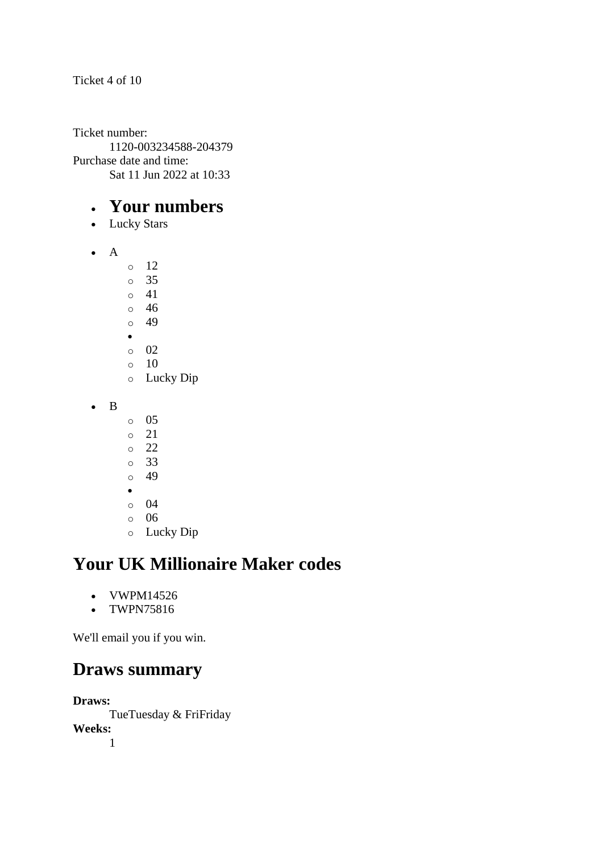Ticket number: 1120-003234588-204379 Purchase date and time: Sat 11 Jun 2022 at 10:33

#### • **Your numbers**

- Lucky Stars
- A
	- o 12 o 35  $\circ$  41 o 46 o 49 •
	- $\circ$  02
	- $\circ$  10 o Lucky Dip
- B
	- o 05
	- o 21
	- o 22
	- o 33
	- o 49
	- •
	- o 04
	- o 06
	- o Lucky Dip

# **Your UK Millionaire Maker codes**

- VWPM14526
- TWPN75816

We'll email you if you win.

### **Draws summary**

**Draws:**

TueTuesday & FriFriday **Weeks:** 1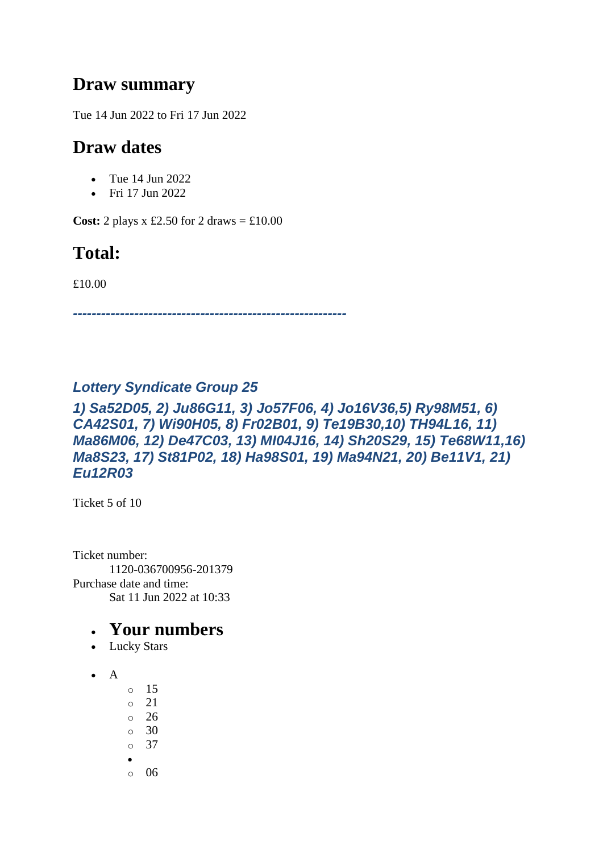### **Draw summary**

Tue 14 Jun 2022 to Fri 17 Jun 2022

### **Draw dates**

- Tue 14 Jun 2022
- Fri 17 Jun 2022

**Cost:** 2 plays x £2.50 for 2 draws  $=$  £10.00

### **Total:**

£10.00

*----------------------------------------------------------*

#### *Lottery Syndicate Group 25*

#### *1) Sa52D05, 2) Ju86G11, 3) Jo57F06, 4) Jo16V36,5) Ry98M51, 6) CA42S01, 7) Wi90H05, 8) Fr02B01, 9) Te19B30,10) TH94L16, 11) Ma86M06, 12) De47C03, 13) MI04J16, 14) Sh20S29, 15) Te68W11,16) Ma8S23, 17) St81P02, 18) Ha98S01, 19) Ma94N21, 20) Be11V1, 21) Eu12R03*

Ticket 5 of 10

Ticket number: 1120-036700956-201379 Purchase date and time: Sat 11 Jun 2022 at 10:33

- Lucky Stars
- $\bullet$  A
- o 15
- $\circ$  21
- o 26
- $\circ$  30
- o 37
- $\circ$  06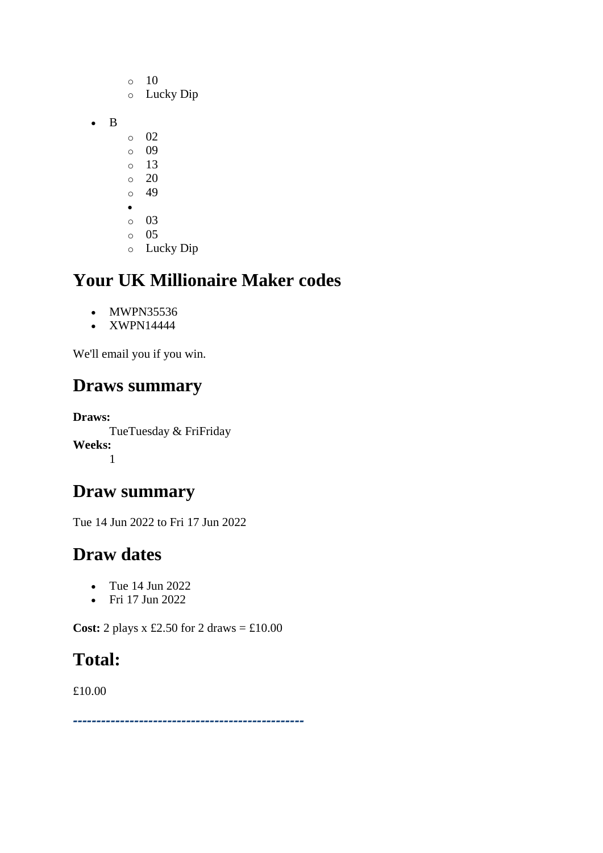- $\circ$  10 o Lucky Dip • B o 02 o 09 o 13  $\circ$  20 o 49 • o 03 o 05
	- o Lucky Dip

- MWPN35536
- XWPN14444

We'll email you if you win.

### **Draws summary**

**Draws:** TueTuesday & FriFriday **Weeks:** 1

### **Draw summary**

Tue 14 Jun 2022 to Fri 17 Jun 2022

### **Draw dates**

- Tue 14 Jun 2022
- Fri 17 Jun 2022

**Cost:** 2 plays x £2.50 for 2 draws = £10.00

### **Total:**

£10.00

*-------------------------------------------------*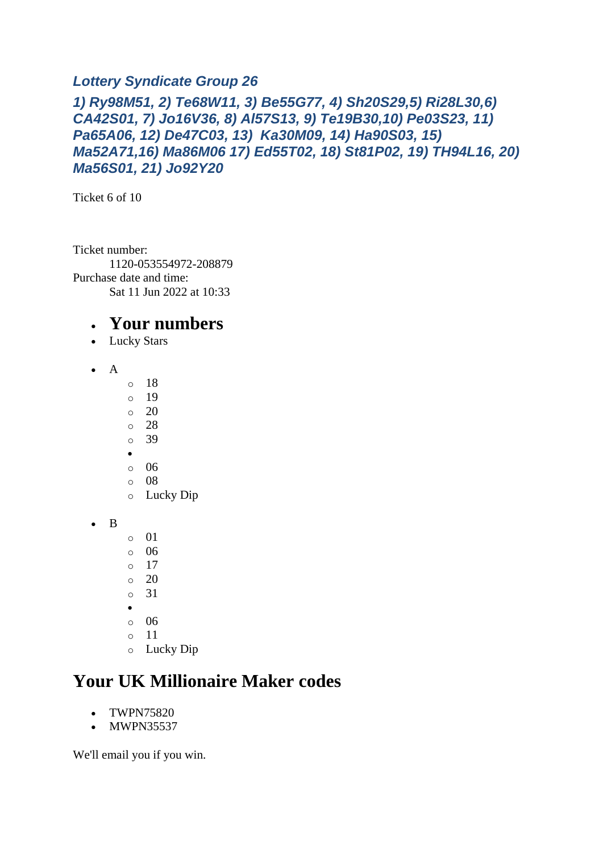#### *Lottery Syndicate Group 26*

*1) Ry98M51, 2) Te68W11, 3) Be55G77, 4) Sh20S29,5) Ri28L30,6) CA42S01, 7) Jo16V36, 8) Al57S13, 9) Te19B30,10) Pe03S23, 11) Pa65A06, 12) De47C03, 13) Ka30M09, 14) Ha90S03, 15) Ma52A71,16) Ma86M06 17) Ed55T02, 18) St81P02, 19) TH94L16, 20) Ma56S01, 21) Jo92Y20*

Ticket 6 of 10

Ticket number: 1120-053554972-208879 Purchase date and time: Sat 11 Jun 2022 at 10:33

#### • **Your numbers**

- Lucky Stars
- A
- o 18
- o 19
- $\circ$  20
- o 28 o 39
- •
- o 06
- o 08
- o Lucky Dip

• B

- o 01
- o 06
- o 17
- $\circ$  20 o 31
- 
- •
- o 06 o 11
- o Lucky Dip

### **Your UK Millionaire Maker codes**

- TWPN75820
- MWPN35537

We'll email you if you win.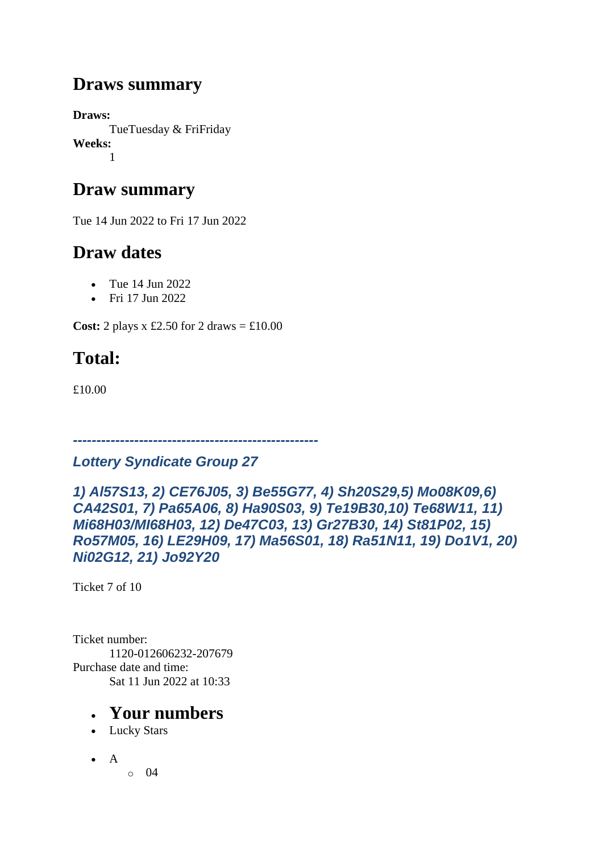### **Draws summary**

**Draws:** TueTuesday & FriFriday **Weeks:** 1

### **Draw summary**

Tue 14 Jun 2022 to Fri 17 Jun 2022

### **Draw dates**

- Tue 14 Jun 2022
- Fri 17 Jun 2022

**Cost:** 2 plays x £2.50 for 2 draws  $= \text{\textsterling}10.00$ 

# **Total:**

£10.00

### *Lottery Syndicate Group 27*

*----------------------------------------------------*

*1) Al57S13, 2) CE76J05, 3) Be55G77, 4) Sh20S29,5) Mo08K09,6) CA42S01, 7) Pa65A06, 8) Ha90S03, 9) Te19B30,10) Te68W11, 11) Mi68H03/MI68H03, 12) De47C03, 13) Gr27B30, 14) St81P02, 15) Ro57M05, 16) LE29H09, 17) Ma56S01, 18) Ra51N11, 19) Do1V1, 20) Ni02G12, 21) Jo92Y20*

Ticket 7 of 10

Ticket number: 1120-012606232-207679 Purchase date and time: Sat 11 Jun 2022 at 10:33

- Lucky Stars
- $\bullet$  A
- $\circ$  04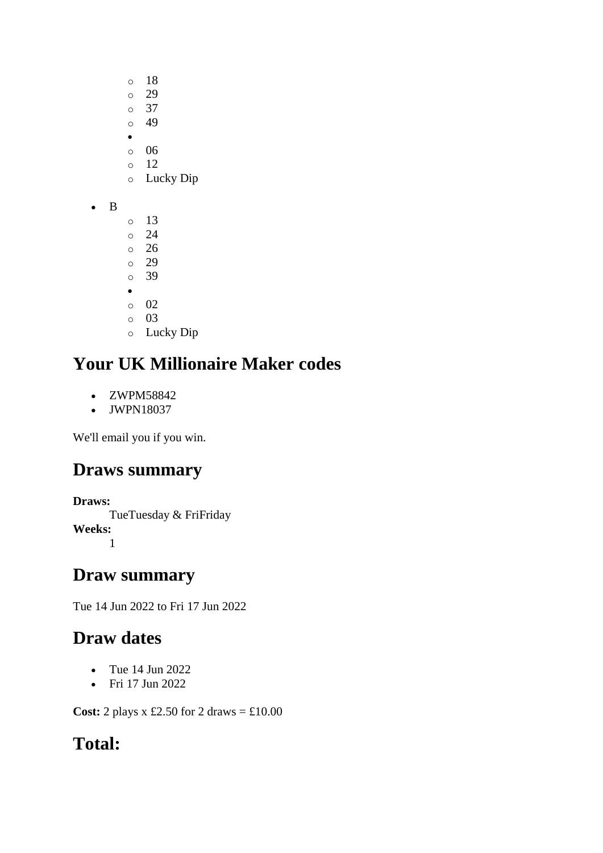- o 18
- o 29
- o 37  $\circ$  49
- •
- o 06
- $\circ$  12
- o Lucky Dip
- B
- o 13 o 24 o 26 o 29 o 39 • o 02 o 03
- o Lucky Dip

- ZWPM58842
- JWPN18037

We'll email you if you win.

# **Draws summary**

**Draws:** TueTuesday & FriFriday **Weeks:** 1

# **Draw summary**

Tue 14 Jun 2022 to Fri 17 Jun 2022

# **Draw dates**

- Tue 14 Jun 2022
- Fri 17 Jun 2022

**Cost:** 2 plays x £2.50 for 2 draws = £10.00

# **Total:**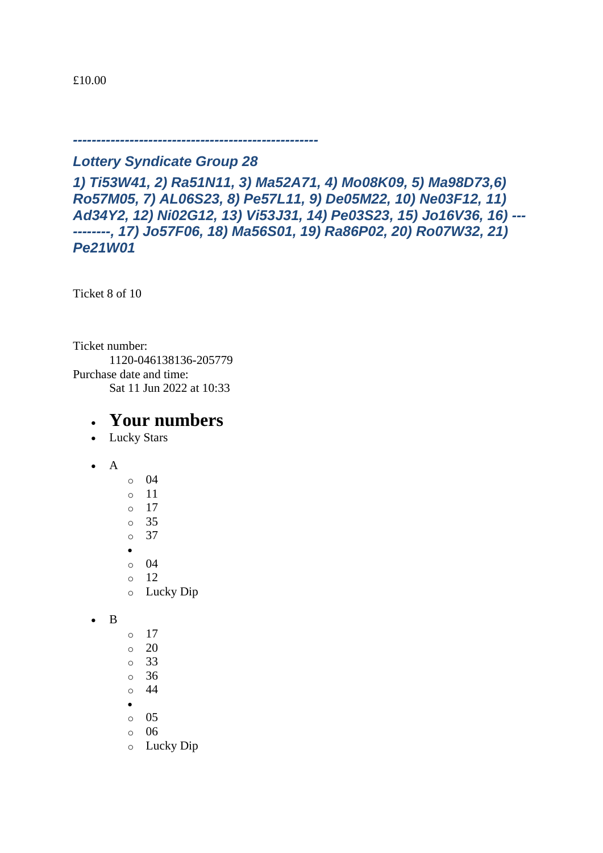#### *Lottery Syndicate Group 28*

*----------------------------------------------------*

*1) Ti53W41, 2) Ra51N11, 3) Ma52A71, 4) Mo08K09, 5) Ma98D73,6) Ro57M05, 7) AL06S23, 8) Pe57L11, 9) De05M22, 10) Ne03F12, 11) Ad34Y2, 12) Ni02G12, 13) Vi53J31, 14) Pe03S23, 15) Jo16V36, 16) --- --------, 17) Jo57F06, 18) Ma56S01, 19) Ra86P02, 20) Ro07W32, 21) Pe21W01*

Ticket 8 of 10

Ticket number: 1120-046138136-205779 Purchase date and time: Sat 11 Jun 2022 at 10:33

- Lucky Stars
- A
- o 04 o 11 o 17 o 35 o 37 •  $\circ$  04 o 12 o Lucky Dip
- B
- $\circ$  17
- $\circ$  20
- o 33
- o 36 o 44
- •
- o 05
- o 06
- o Lucky Dip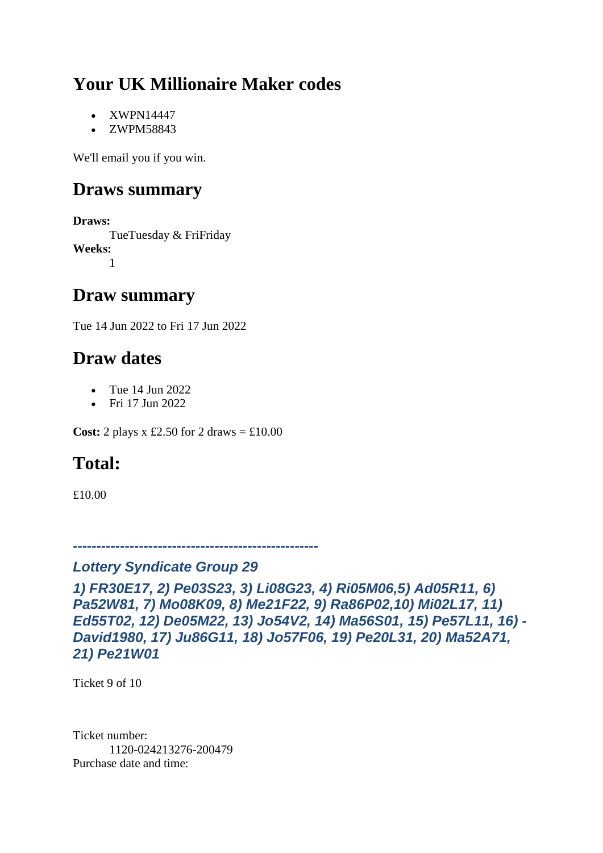- XWPN14447
- ZWPM58843

We'll email you if you win.

### **Draws summary**

**Draws:** TueTuesday & FriFriday **Weeks:** 1

### **Draw summary**

Tue 14 Jun 2022 to Fri 17 Jun 2022

### **Draw dates**

- Tue 14 Jun 2022
- Fri 17 Jun 2022

**Cost:** 2 plays x £2.50 for 2 draws  $=$  £10.00

# **Total:**

£10.00

*----------------------------------------------------*

#### *Lottery Syndicate Group 29*

*1) FR30E17, 2) Pe03S23, 3) Li08G23, 4) Ri05M06,5) Ad05R11, 6) Pa52W81, 7) Mo08K09, 8) Me21F22, 9) Ra86P02,10) Mi02L17, 11) Ed55T02, 12) De05M22, 13) Jo54V2, 14) Ma56S01, 15) Pe57L11, 16) - David1980, 17) Ju86G11, 18) Jo57F06, 19) Pe20L31, 20) Ma52A71, 21) Pe21W01*

Ticket 9 of 10

Ticket number: 1120-024213276-200479 Purchase date and time: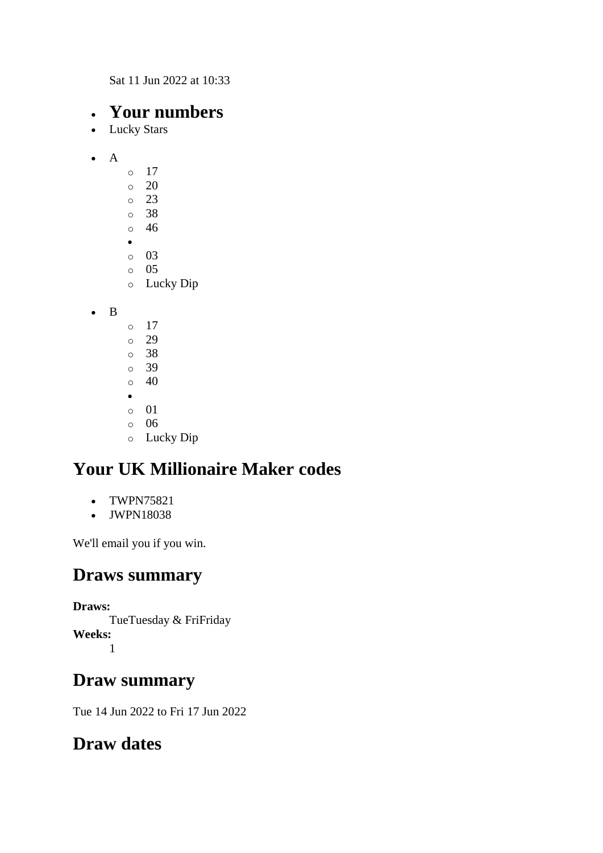Sat 11 Jun 2022 at 10:33

#### • **Your numbers**

- Lucky Stars
- $\bullet$  A  $\circ$  17 o 20 o 23 o 38 o 46 • o 03 o 05 o Lucky Dip

• B

o 17 o 29 o 38 o 39  $\circ$  40 • o 01 o 06 o Lucky Dip

### **Your UK Millionaire Maker codes**

- TWPN75821
- JWPN18038

We'll email you if you win.

#### **Draws summary**

**Draws:**

TueTuesday & FriFriday **Weeks:** 1

### **Draw summary**

Tue 14 Jun 2022 to Fri 17 Jun 2022

### **Draw dates**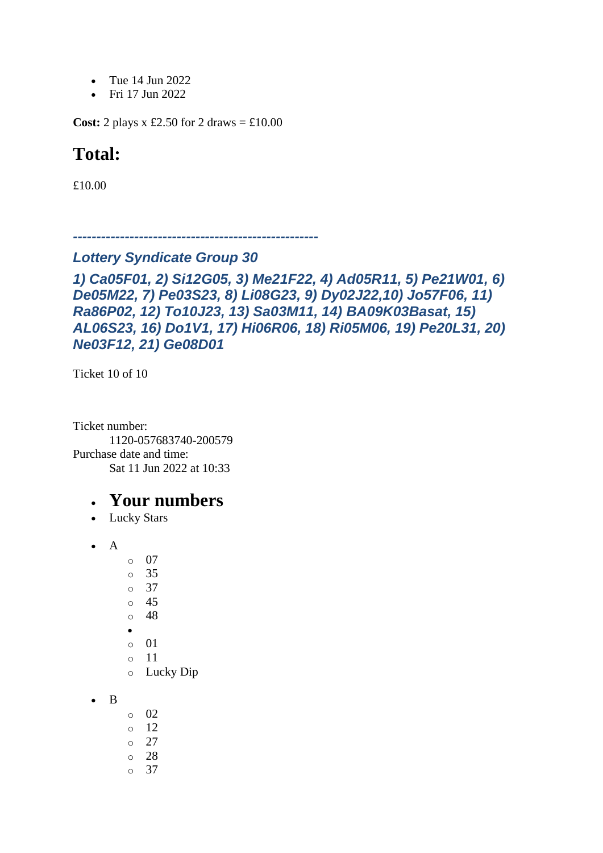- Tue 14 Jun 2022
- Fri 17 Jun 2022

**Cost:** 2 plays x £2.50 for 2 draws  $= \text{\textsterling}10.00$ 

### **Total:**

£10.00

```
----------------------------------------------------
```
#### *Lottery Syndicate Group 30*

*1) Ca05F01, 2) Si12G05, 3) Me21F22, 4) Ad05R11, 5) Pe21W01, 6) De05M22, 7) Pe03S23, 8) Li08G23, 9) Dy02J22,10) Jo57F06, 11) Ra86P02, 12) To10J23, 13) Sa03M11, 14) BA09K03Basat, 15) AL06S23, 16) Do1V1, 17) Hi06R06, 18) Ri05M06, 19) Pe20L31, 20) Ne03F12, 21) Ge08D01*

Ticket 10 of 10

Ticket number: 1120-057683740-200579 Purchase date and time: Sat 11 Jun 2022 at 10:33

- Lucky Stars
- $\bullet$  A
	- o 07 o 35 o 37 o 45 o 48 • o 01
		- o 11
		- o Lucky Dip
- B
- o 02  $\circ$  12  $\circ$  27 o 28
- o 37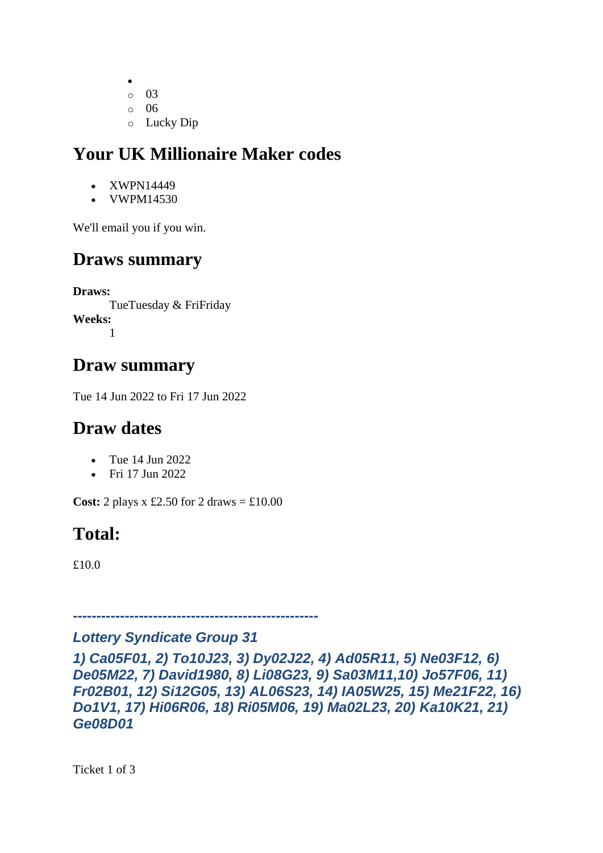- o 03 o 06
- o Lucky Dip

- XWPN14449
- VWPM14530

We'll email you if you win.

# **Draws summary**

**Draws:** TueTuesday & FriFriday **Weeks:** 1

# **Draw summary**

Tue 14 Jun 2022 to Fri 17 Jun 2022

# **Draw dates**

- Tue 14 Jun 2022
- Fri 17 Jun 2022

**Cost:** 2 plays x £2.50 for 2 draws  $= \text{\textsterling}10.00$ 

# **Total:**

£10.0

### *Lottery Syndicate Group 31*

*----------------------------------------------------*

*1) Ca05F01, 2) To10J23, 3) Dy02J22, 4) Ad05R11, 5) Ne03F12, 6) De05M22, 7) David1980, 8) Li08G23, 9) Sa03M11,10) Jo57F06, 11) Fr02B01, 12) Si12G05, 13) AL06S23, 14) IA05W25, 15) Me21F22, 16) Do1V1, 17) Hi06R06, 18) Ri05M06, 19) Ma02L23, 20) Ka10K21, 21) Ge08D01*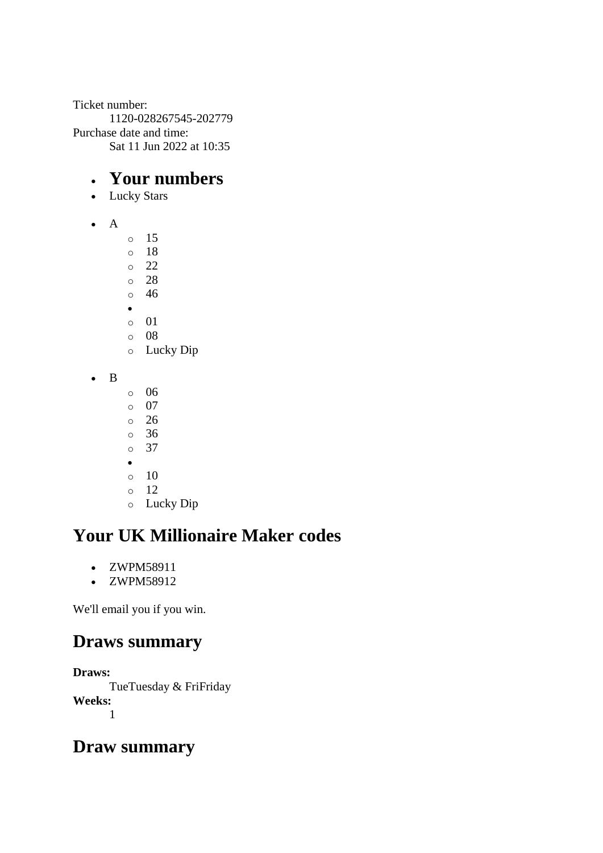Ticket number: 1120-028267545-202779 Purchase date and time: Sat 11 Jun 2022 at 10:35

#### • **Your numbers**

- Lucky Stars
- A
- o 15 o 18 o 22 o 28 o 46 • o 01 o 08 o Lucky Dip • B o 06  $\circ$  07
	- o 26
	- o 36
	- o 37
	- •
	- $\circ$  10
	- o 12 o Lucky Dip

# **Your UK Millionaire Maker codes**

- ZWPM58911
- ZWPM58912

We'll email you if you win.

### **Draws summary**

**Draws:**

TueTuesday & FriFriday **Weeks:** 1

### **Draw summary**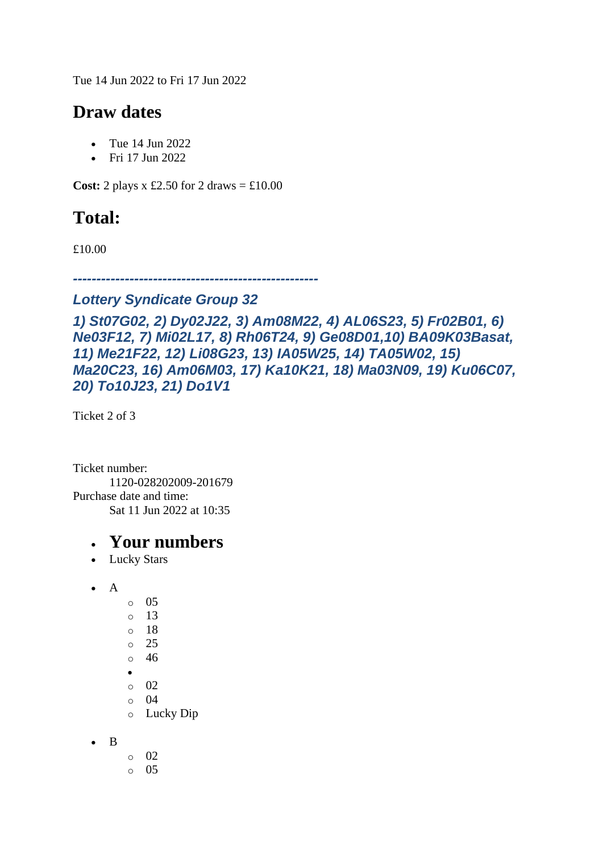Tue 14 Jun 2022 to Fri 17 Jun 2022

#### **Draw dates**

- Tue 14 Jun 2022
- Fri 17 Jun 2022

**Cost:** 2 plays x £2.50 for 2 draws  $=$  £10.00

### **Total:**

£10.00

*----------------------------------------------------*

#### *Lottery Syndicate Group 32*

*1) St07G02, 2) Dy02J22, 3) Am08M22, 4) AL06S23, 5) Fr02B01, 6) Ne03F12, 7) Mi02L17, 8) Rh06T24, 9) Ge08D01,10) BA09K03Basat, 11) Me21F22, 12) Li08G23, 13) IA05W25, 14) TA05W02, 15) Ma20C23, 16) Am06M03, 17) Ka10K21, 18) Ma03N09, 19) Ku06C07, 20) To10J23, 21) Do1V1*

Ticket 2 of 3

Ticket number: 1120-028202009-201679 Purchase date and time: Sat 11 Jun 2022 at 10:35

- Lucky Stars
- $\bullet$  A
- o 05  $\circ$  13 o 18 o 25
- o 46 •
- o 02
- o 04
- o Lucky Dip
- B
- o 02
- o 05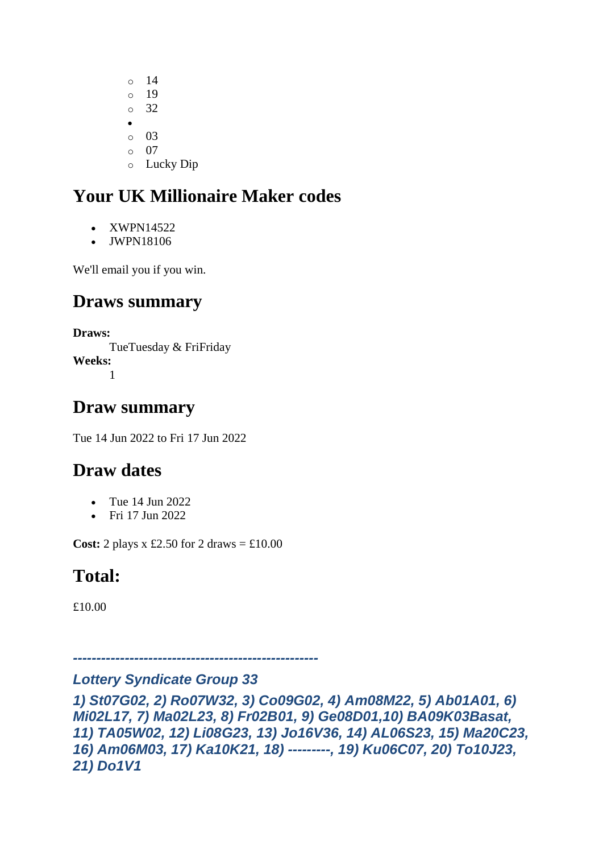o 14 o 19 o 32 • o 03 o 07 o Lucky Dip

# **Your UK Millionaire Maker codes**

- XWPN14522
- JWPN18106

We'll email you if you win.

### **Draws summary**

**Draws:** TueTuesday & FriFriday **Weeks:** 1

### **Draw summary**

Tue 14 Jun 2022 to Fri 17 Jun 2022

### **Draw dates**

- Tue 14 Jun 2022
- Fri 17 Jun 2022

**Cost:** 2 plays  $x \text{ £}2.50$  for 2 draws =  $\text{£}10.00$ 

### **Total:**

£10.00

### *Lottery Syndicate Group 33*

*----------------------------------------------------*

*1) St07G02, 2) Ro07W32, 3) Co09G02, 4) Am08M22, 5) Ab01A01, 6) Mi02L17, 7) Ma02L23, 8) Fr02B01, 9) Ge08D01,10) BA09K03Basat, 11) TA05W02, 12) Li08G23, 13) Jo16V36, 14) AL06S23, 15) Ma20C23, 16) Am06M03, 17) Ka10K21, 18) ---------, 19) Ku06C07, 20) To10J23, 21) Do1V1*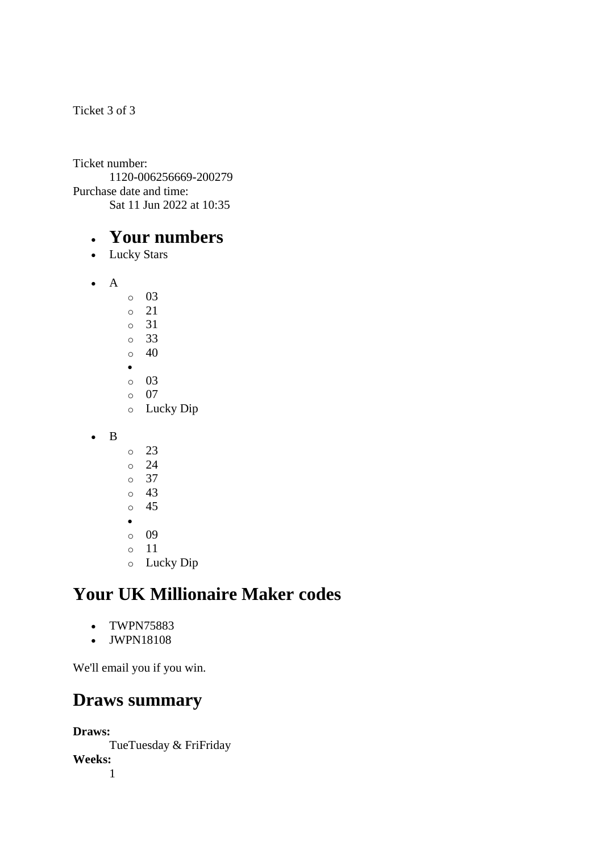Ticket 3 of 3

Ticket number: 1120-006256669-200279 Purchase date and time: Sat 11 Jun 2022 at 10:35

#### • **Your numbers**

• Lucky Stars

• A

- o 03 o 21 o 31 o 33  $\circ$  40 • o 03  $\circ$  07 o Lucky Dip
- B
- o 23
- o 24
- o 37
- o 43
- o 45 •
- o 09
- o 11
- o Lucky Dip

### **Your UK Millionaire Maker codes**

- TWPN75883
- JWPN18108

We'll email you if you win.

#### **Draws summary**

**Draws:** TueTuesday & FriFriday **Weeks:** 1